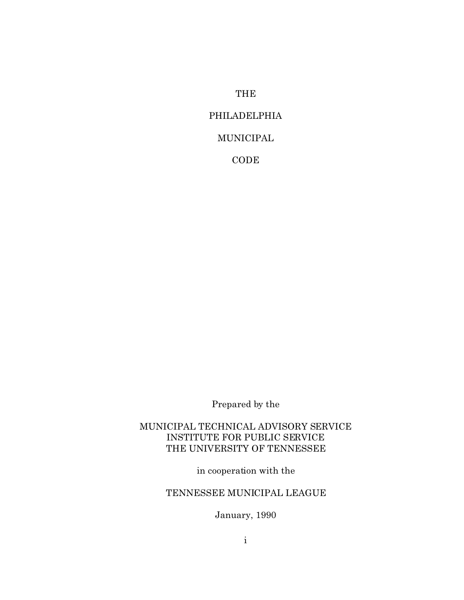# THE

# PHILADELPHIA

# MUNICIPAL

CODE

Prepared by the

MUNICIPAL TECHNICAL ADVISORY SERVICE INSTITUTE FOR PUBLIC SERVICE THE UNIVERSITY OF TENNESSEE

in cooperation with the

# TENNESSEE MUNICIPAL LEAGUE

January, 1990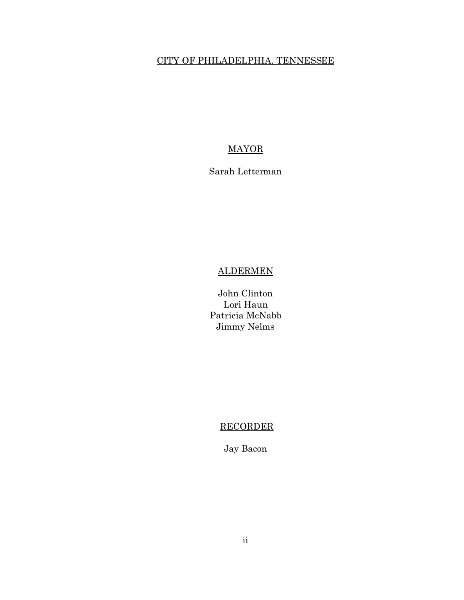# CITY OF PHILADELPHIA, TENNESSEE

# MAYOR

# Sarah Letterman

# ALDERMEN

John Clinton Lori Haun Patricia McNabb Jimmy Nelms

# RECORDER

Jay Bacon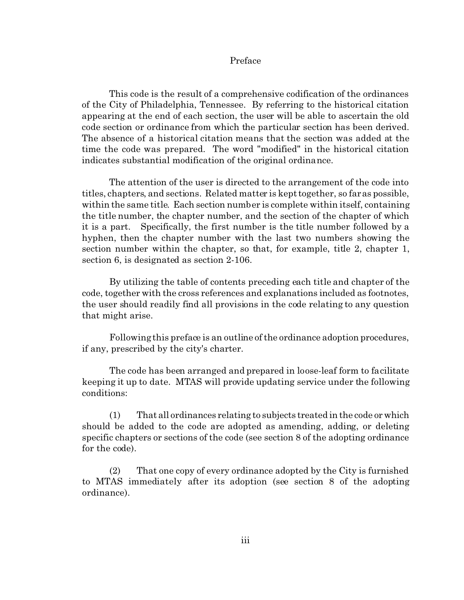## Preface

This code is the result of a comprehensive codification of the ordinances of the City of Philadelphia, Tennessee. By referring to the historical citation appearing at the end of each section, the user will be able to ascertain the old code section or ordinance from which the particular section has been derived. The absence of a historical citation means that the section was added at the time the code was prepared. The word "modified" in the historical citation indicates substantial modification of the original ordinance.

The attention of the user is directed to the arrangement of the code into titles, chapters, and sections. Related matter is kept together, so far as possible, within the same title. Each section number is complete within itself, containing the title number, the chapter number, and the section of the chapter of which it is a part. Specifically, the first number is the title number followed by a hyphen, then the chapter number with the last two numbers showing the section number within the chapter, so that, for example, title 2, chapter 1, section 6, is designated as section 2-106.

By utilizing the table of contents preceding each title and chapter of the code, together with the cross references and explanations included as footnotes, the user should readily find all provisions in the code relating to any question that might arise.

Following this preface is an outline of the ordinance adoption procedures, if any, prescribed by the city's charter.

The code has been arranged and prepared in loose-leaf form to facilitate keeping it up to date. MTAS will provide updating service under the following conditions:

(1) That all ordinances relating to subjects treated in the code or which should be added to the code are adopted as amending, adding, or deleting specific chapters or sections of the code (see section 8 of the adopting ordinance for the code).

(2) That one copy of every ordinance adopted by the City is furnished to MTAS immediately after its adoption (see section 8 of the adopting ordinance).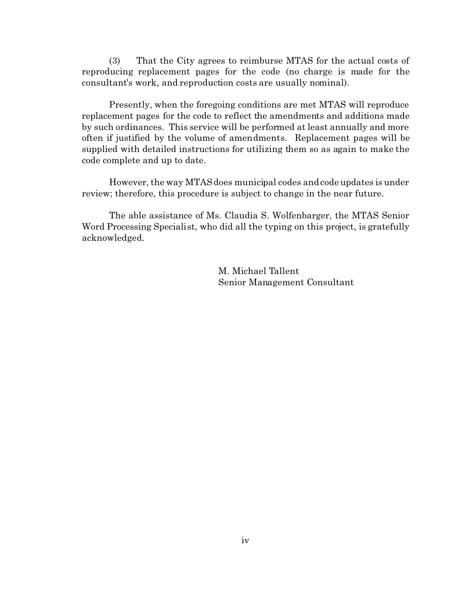(3) That the City agrees to reimburse MTAS for the actual costs of reproducing replacement pages for the code (no charge is made for the consultant's work, and reproduction costs are usually nominal).

Presently, when the foregoing conditions are met MTAS will reproduce replacement pages for the code to reflect the amendments and additions made by such ordinances. This service will be performed at least annually and more often if justified by the volume of amendments. Replacement pages will be supplied with detailed instructions for utilizing them so as again to make the code complete and up to date.

However, the way MTAS does municipal codes and code updates is under review; therefore, this procedure is subject to change in the near future.

The able assistance of Ms. Claudia S. Wolfenbarger, the MTAS Senior Word Processing Specialist, who did all the typing on this project, is gratefully acknowledged.

> M. Michael Tallent Senior Management Consultant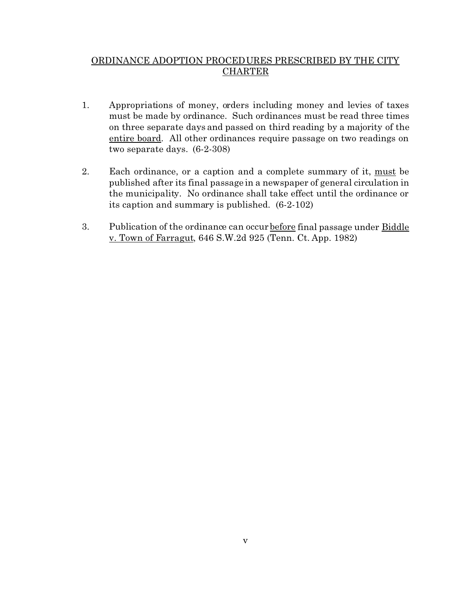# ORDINANCE ADOPTION PROCEDURES PRESCRIBED BY THE CITY CHARTER

- 1. Appropriations of money, orders including money and levies of taxes must be made by ordinance. Such ordinances must be read three times on three separate days and passed on third reading by a majority of the entire board. All other ordinances require passage on two readings on two separate days. (6-2-308)
- 2. Each ordinance, or a caption and a complete summary of it, must be published after its final passage in a newspaper of general circulation in the municipality. No ordinance shall take effect until the ordinance or its caption and summary is published. (6-2-102)
- 3. Publication of the ordinance can occur before final passage under Biddle v. Town of Farragut, 646 S.W.2d 925 (Tenn. Ct. App. 1982)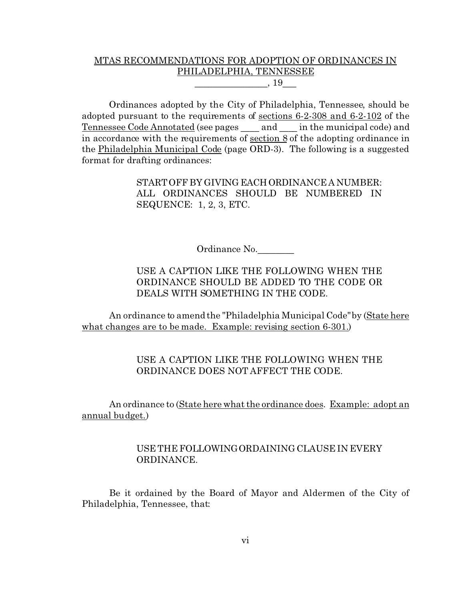# MTAS RECOMMENDATIONS FOR ADOPTION OF ORDINANCES IN PHILADELPHIA, TENNESSEE  $, 19$

Ordinances adopted by the City of Philadelphia, Tennessee, should be adopted pursuant to the requirements of sections 6-2-308 and 6-2-102 of the Tennessee Code Annotated (see pages and in the municipal code) and in accordance with the requirements of section 8 of the adopting ordinance in the Philadelphia Municipal Code (page ORD-3). The following is a suggested format for drafting ordinances:

> START OFF BY GIVING EACH ORDINANCE A NUMBER: ALL ORDINANCES SHOULD BE NUMBERED IN SEQUENCE: 1, 2, 3, ETC.

> > Ordinance No.\_\_\_\_\_\_\_\_

# USE A CAPTION LIKE THE FOLLOWING WHEN THE ORDINANCE SHOULD BE ADDED TO THE CODE OR DEALS WITH SOMETHING IN THE CODE.

An ordinance to amend the "Philadelphia Municipal Code" by (State here what changes are to be made. Example: revising section 6-301.)

# USE A CAPTION LIKE THE FOLLOWING WHEN THE ORDINANCE DOES NOT AFFECT THE CODE.

An ordinance to (State here what the ordinance does. Example: adopt an annual budget.)

# USE THE FOLLOWINGORDAINING CLAUSE IN EVERY ORDINANCE.

Be it ordained by the Board of Mayor and Aldermen of the City of Philadelphia, Tennessee, that: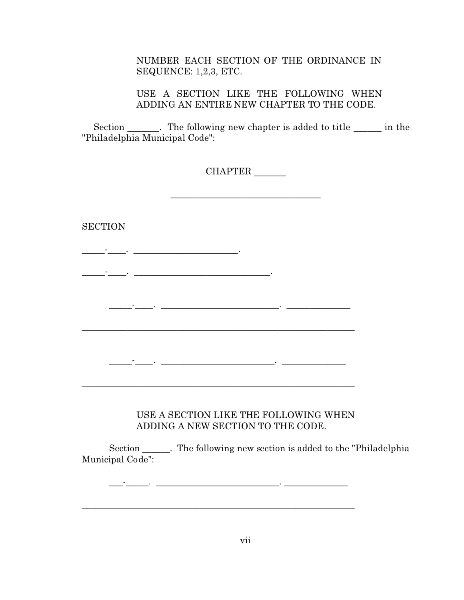# NUMBER EACH SECTION OF THE ORDINANCE IN SEQUENCE: 1,2,3, ETC.

USE A SECTION LIKE THE FOLLOWING WHEN ADDING AN ENTIRE NEW CHAPTER TO THE CODE.

Section Fig. The following new chapter is added to title <u>see in</u> the "Philadelphia Municipal Code":

CHAPTER \_\_\_\_\_\_\_

\_\_\_\_\_\_\_\_\_\_\_\_\_\_\_\_\_\_\_\_\_\_\_\_\_\_\_\_\_\_\_\_\_

**SECTION** \_\_\_\_\_-\_\_\_\_. \_\_\_\_\_\_\_\_\_\_\_\_\_\_\_\_\_\_\_\_\_\_\_. \_\_\_\_\_-\_\_\_\_. \_\_\_\_\_\_\_\_\_\_\_\_\_\_\_\_\_\_\_\_\_\_\_\_\_\_\_\_\_\_. \_\_\_\_\_-\_\_\_\_. \_\_\_\_\_\_\_\_\_\_\_\_\_\_\_\_\_\_\_\_\_\_\_\_\_\_. \_\_\_\_\_\_\_\_\_\_\_\_\_\_  $\mathcal{L}_\text{max}$  and  $\mathcal{L}_\text{max}$  and  $\mathcal{L}_\text{max}$  and  $\mathcal{L}_\text{max}$  and  $\mathcal{L}_\text{max}$ \_\_\_\_\_-\_\_\_\_. \_\_\_\_\_\_\_\_\_\_\_\_\_\_\_\_\_\_\_\_\_\_\_\_\_. \_\_\_\_\_\_\_\_\_\_\_\_\_\_ \_\_\_\_\_\_\_\_\_\_\_\_\_\_\_\_\_\_\_\_\_\_\_\_\_\_\_\_\_\_\_\_\_\_\_\_\_\_\_\_\_\_\_\_\_\_\_\_\_\_\_\_\_\_\_\_\_\_\_\_ USE A SECTION LIKE THE FOLLOWING WHEN ADDING A NEW SECTION TO THE CODE. Section \_\_\_\_\_\_. The following new section is added to the "Philadelphia Municipal Code":

 $\_$  ,  $\_$  ,  $\_$  ,  $\_$  ,  $\_$  ,  $\_$  ,  $\_$  ,  $\_$  ,  $\_$  ,  $\_$  ,  $\_$  ,  $\_$  ,  $\_$  ,  $\_$  ,  $\_$  ,  $\_$  ,  $\_$  ,  $\_$  ,  $\_$  ,  $\_$  ,  $\_$  ,  $\_$  ,  $\_$  ,  $\_$  ,  $\_$  ,  $\_$  ,  $\_$  ,  $\_$  ,  $\_$  ,  $\_$  ,  $\_$  ,  $\_$  ,  $\_$  ,  $\_$  ,  $\_$  ,  $\_$  ,  $\_$  ,

 $\mathcal{L}_\text{max}$  and  $\mathcal{L}_\text{max}$  and  $\mathcal{L}_\text{max}$  and  $\mathcal{L}_\text{max}$  and  $\mathcal{L}_\text{max}$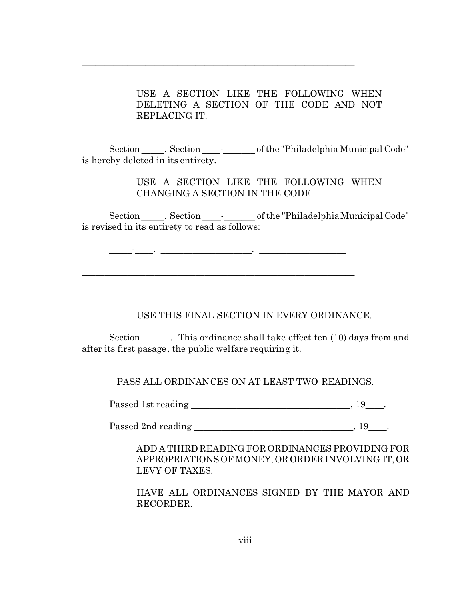USE A SECTION LIKE THE FOLLOWING WHEN DELETING A SECTION OF THE CODE AND NOT REPLACING IT.

Section \_\_\_\_\_. Section \_\_\_\_\_\_\_\_\_\_\_\_\_\_\_\_\_\_ of the "Philadelphia Municipal Code" is hereby deleted in its entirety.

\_\_\_\_\_\_\_\_\_\_\_\_\_\_\_\_\_\_\_\_\_\_\_\_\_\_\_\_\_\_\_\_\_\_\_\_\_\_\_\_\_\_\_\_\_\_\_\_\_\_\_\_\_\_\_\_\_\_\_\_

USE A SECTION LIKE THE FOLLOWING WHEN CHANGING A SECTION IN THE CODE.

Section . Section .  $\blacksquare$  of the "Philadelphia Municipal Code" is revised in its entirety to read as follows:

\_\_\_\_\_-\_\_\_\_. \_\_\_\_\_\_\_\_\_\_\_\_\_\_\_\_\_\_\_\_. \_\_\_\_\_\_\_\_\_\_\_\_\_\_\_\_\_\_\_

\_\_\_\_\_\_\_\_\_\_\_\_\_\_\_\_\_\_\_\_\_\_\_\_\_\_\_\_\_\_\_\_\_\_\_\_\_\_\_\_\_\_\_\_\_\_\_\_\_\_\_\_\_\_\_\_\_\_\_\_

\_\_\_\_\_\_\_\_\_\_\_\_\_\_\_\_\_\_\_\_\_\_\_\_\_\_\_\_\_\_\_\_\_\_\_\_\_\_\_\_\_\_\_\_\_\_\_\_\_\_\_\_\_\_\_\_\_\_\_\_

USE THIS FINAL SECTION IN EVERY ORDINANCE.

Section Filis ordinance shall take effect ten (10) days from and after its first pasage, the public welfare requiring it.

PASS ALL ORDINANCES ON AT LEAST TWO READINGS.

Passed 1st reading the contract of the contract of the contract of the contract of the contract of the contract of the contract of the contract of the contract of the contract of the contract of the contract of the contrac

Passed 2nd reading the contract of the contract of the contract of the contract of the contract of the contract of the contract of the contract of the contract of the contract of the contract of the contract of the contrac

ADD A THIRD READING FOR ORDINANCES PROVIDING FOR APPROPRIATIONS OF MONEY, OR ORDER INVOLVING IT,OR LEVY OF TAXES.

HAVE ALL ORDINANCES SIGNED BY THE MAYOR AND RECORDER.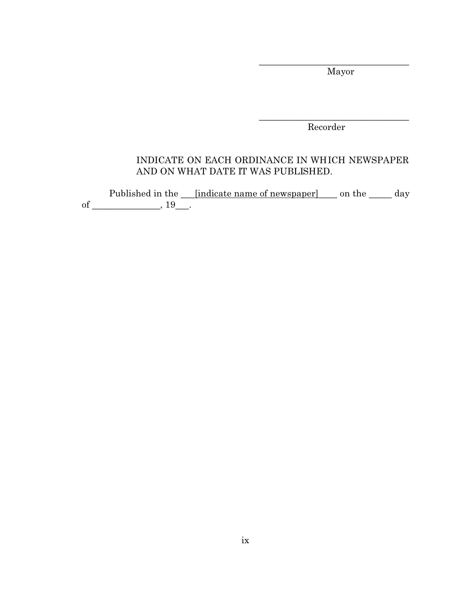Mayor

\_\_\_\_\_\_\_\_\_\_\_\_\_\_\_\_\_\_\_\_\_\_\_\_\_\_\_\_\_\_\_\_\_

Recorder

\_\_\_\_\_\_\_\_\_\_\_\_\_\_\_\_\_\_\_\_\_\_\_\_\_\_\_\_\_\_\_\_\_

# INDICATE ON EACH ORDINANCE IN WHICH NEWSPAPER AND ON WHAT DATE IT WAS PUBLISHED.

Published in the \_\_\_\_[indicate name of newspaper] \_\_\_\_ on the \_\_\_\_\_\_ day of \_\_\_\_\_\_\_\_\_\_\_\_\_\_\_\_\_,  $19$ \_\_\_.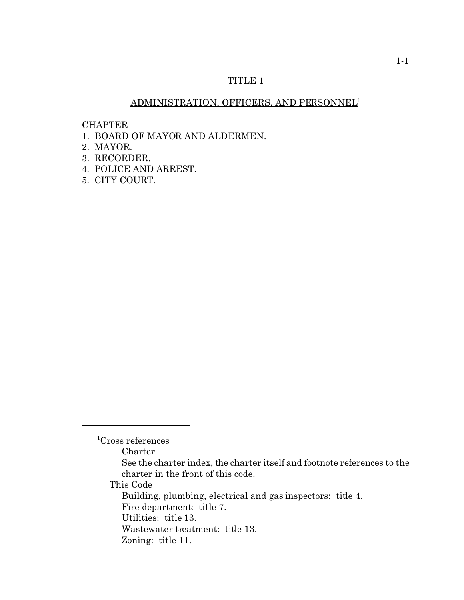# TITLE 1

# ADMINISTRATION, OFFICERS, AND PERSONNEL<sup>1</sup>

CHAPTER

- 1. BOARD OF MAYOR AND ALDERMEN.
- 2. MAYOR.
- 3. RECORDER.
- 4. POLICE AND ARREST.
- 5. CITY COURT.

Charter

This Code

<sup>&</sup>lt;sup>1</sup>Cross references

See the charter index, the charter itself and footnote references to the charter in the front of this code.

Building, plumbing, electrical and gas inspectors: title 4. Fire department: title 7.

Utilities: title 13.

Wastewater treatment: title 13.

Zoning: title 11.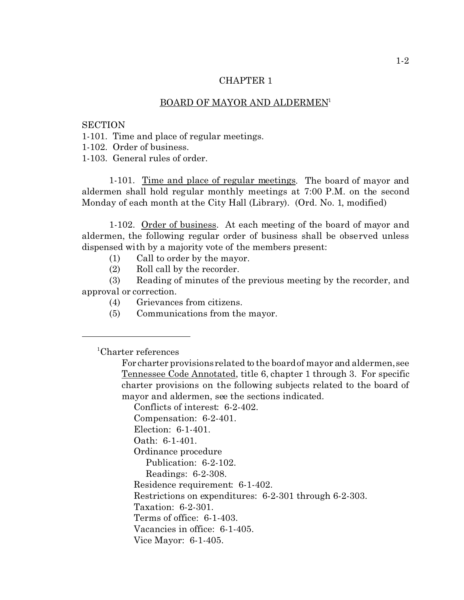#### BOARD OF MAYOR AND ALDERMEN<sup>1</sup>

**SECTION** 

1-101. Time and place of regular meetings.

1-102. Order of business.

1-103. General rules of order.

1-101. Time and place of regular meetings. The board of mayor and aldermen shall hold regular monthly meetings at 7:00 P.M. on the second Monday of each month at the City Hall (Library). (Ord. No. 1, modified)

1-102. Order of business. At each meeting of the board of mayor and aldermen, the following regular order of business shall be observed unless dispensed with by a majority vote of the members present:

(1) Call to order by the mayor.

(2) Roll call by the recorder.

(3) Reading of minutes of the previous meeting by the recorder, and approval or correction.

- (4) Grievances from citizens.
- (5) Communications from the mayor.

<sup>1</sup>Charter references

Conflicts of interest: 6-2-402.

Compensation: 6-2-401.

Election: 6-1-401.

Oath: 6-1-401.

Ordinance procedure

Publication: 6-2-102.

Readings: 6-2-308.

Residence requirement: 6-1-402.

Restrictions on expenditures: 6-2-301 through 6-2-303.

Taxation: 6-2-301.

Terms of office: 6-1-403.

Vacancies in office: 6-1-405.

Vice Mayor: 6-1-405.

For charter provisions related to the board of mayor and aldermen, see Tennessee Code Annotated, title 6, chapter 1 through 3. For specific charter provisions on the following subjects related to the board of mayor and aldermen, see the sections indicated.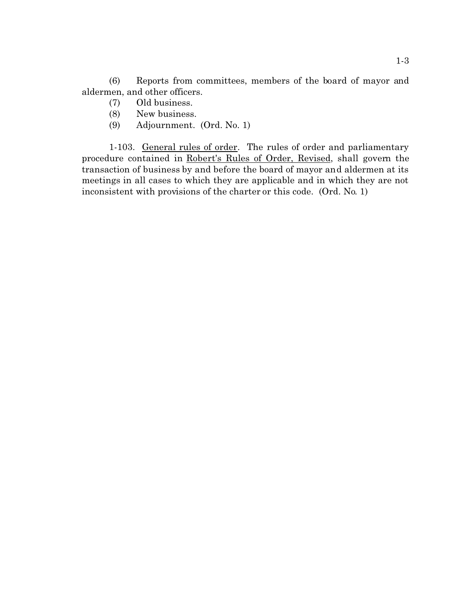(6) Reports from committees, members of the board of mayor and aldermen, and other officers.

- (7) Old business.
- (8) New business.
- (9) Adjournment. (Ord. No. 1)

1-103. General rules of order. The rules of order and parliamentary procedure contained in Robert's Rules of Order, Revised, shall govern the transaction of business by and before the board of mayor and aldermen at its meetings in all cases to which they are applicable and in which they are not inconsistent with provisions of the charter or this code. (Ord. No. 1)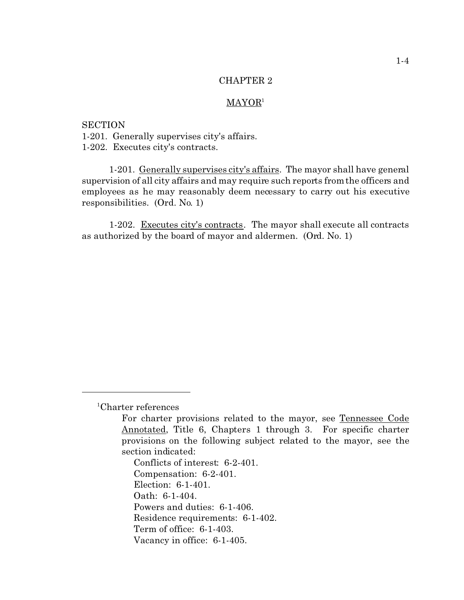#### MAYOR<sup>1</sup>

**SECTION** 1-201. Generally supervises city's affairs. 1-202. Executes city's contracts.

1-201. Generally supervises city's affairs. The mayor shall have general supervision of all city affairs and may require such reports from the officers and employees as he may reasonably deem necessary to carry out his executive responsibilities. (Ord. No. 1)

1-202. Executes city's contracts. The mayor shall execute all contracts as authorized by the board of mayor and aldermen. (Ord. No. 1)

Conflicts of interest: 6-2-401. Compensation: 6-2-401. Election: 6-1-401. Oath: 6-1-404. Powers and duties: 6-1-406. Residence requirements: 6-1-402. Term of office: 6-1-403. Vacancy in office: 6-1-405.

<sup>1</sup>Charter references

For charter provisions related to the mayor, see Tennessee Code Annotated, Title 6, Chapters 1 through 3. For specific charter provisions on the following subject related to the mayor, see the section indicated: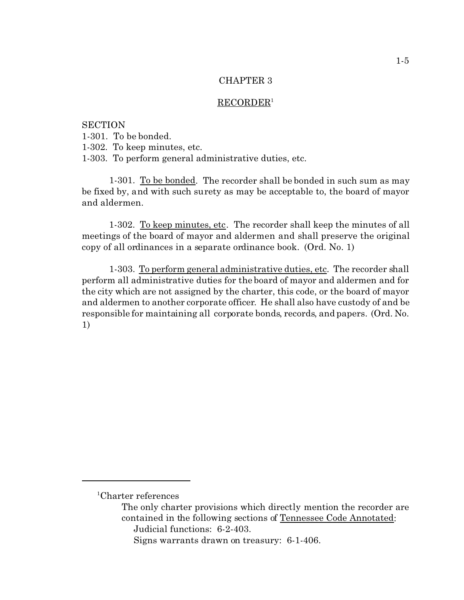## RECORDER<sup>1</sup>

**SECTION** 1-301. To be bonded. 1-302. To keep minutes, etc. 1-303. To perform general administrative duties, etc.

1-301. To be bonded. The recorder shall be bonded in such sum as may be fixed by, and with such surety as may be acceptable to, the board of mayor and aldermen.

1-302. To keep minutes, etc. The recorder shall keep the minutes of all meetings of the board of mayor and aldermen and shall preserve the original copy of all ordinances in a separate ordinance book. (Ord. No. 1)

1-303. To perform general administrative duties, etc. The recorder shall perform all administrative duties for the board of mayor and aldermen and for the city which are not assigned by the charter, this code, or the board of mayor and aldermen to another corporate officer. He shall also have custody of and be responsible for maintaining all corporate bonds, records, and papers. (Ord. No. 1)

<sup>1</sup>Charter references

The only charter provisions which directly mention the recorder are contained in the following sections of Tennessee Code Annotated: Judicial functions: 6-2-403.

Signs warrants drawn on treasury: 6-1-406.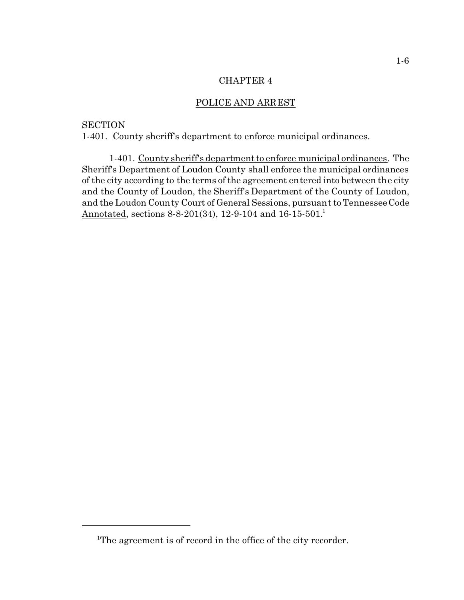## POLICE AND ARREST

## **SECTION**

1-401. County sheriff's department to enforce municipal ordinances.

1-401. County sheriff's department to enforce municipal ordinances. The Sheriff's Department of Loudon County shall enforce the municipal ordinances of the city according to the terms of the agreement entered into between the city and the County of Loudon, the Sheriff's Department of the County of Loudon, and the Loudon County Court of General Sessions, pursuant to Tennessee Code Annotated, sections 8-8-201(34), 12-9-104 and 16-15-501.<sup>1</sup>

<sup>&</sup>lt;sup>1</sup>The agreement is of record in the office of the city recorder.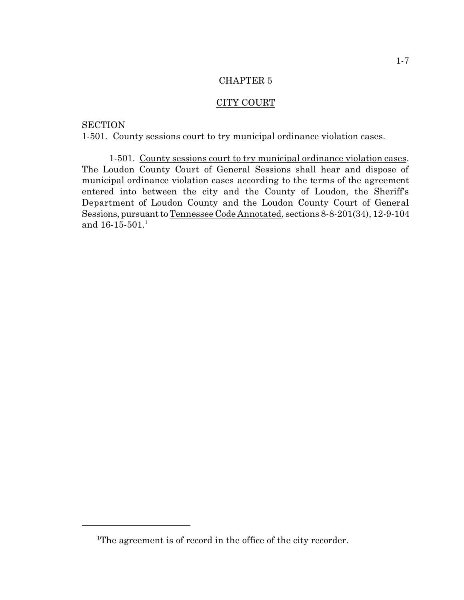## CITY COURT

# **SECTION**

1-501. County sessions court to try municipal ordinance violation cases.

1-501. County sessions court to try municipal ordinance violation cases. The Loudon County Court of General Sessions shall hear and dispose of municipal ordinance violation cases according to the terms of the agreement entered into between the city and the County of Loudon, the Sheriff's Department of Loudon County and the Loudon County Court of General Sessions, pursuant to Tennessee Code Annotated, sections 8-8-201(34), 12-9-104 and  $16-15-501$ .<sup>1</sup>

<sup>&</sup>lt;sup>1</sup>The agreement is of record in the office of the city recorder.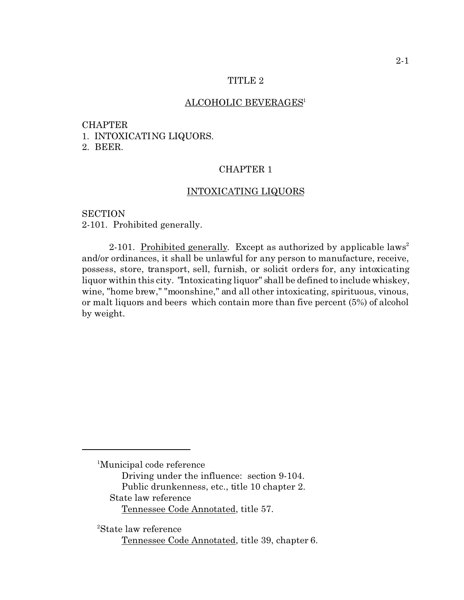## TITLE 2

### ALCOHOLIC BEVERAGES<sup>1</sup>

# CHAPTER

1. INTOXICATING LIQUORS.

2. BEER.

## CHAPTER 1

## INTOXICATING LIQUORS

**SECTION** 2-101. Prohibited generally.

2-101. Prohibited generally. Except as authorized by applicable laws<sup>2</sup> and/or ordinances, it shall be unlawful for any person to manufacture, receive, possess, store, transport, sell, furnish, or solicit orders for, any intoxicating liquor within this city. "Intoxicating liquor" shall be defined to include whiskey, wine, "home brew," "moonshine," and all other intoxicating, spirituous, vinous, or malt liquors and beers which contain more than five percent (5%) of alcohol by weight.

<sup>1</sup>Municipal code reference

Driving under the influence: section 9-104. Public drunkenness, etc., title 10 chapter 2.

State law reference

Tennessee Code Annotated, title 57.

<sup>2</sup>State law reference

Tennessee Code Annotated, title 39, chapter 6.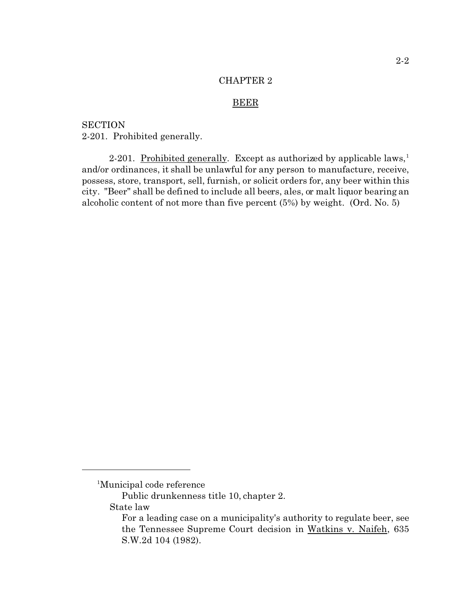#### BEER

**SECTION** 2-201. Prohibited generally.

2-201. Prohibited generally. Except as authorized by applicable laws,<sup>1</sup> and/or ordinances, it shall be unlawful for any person to manufacture, receive, possess, store, transport, sell, furnish, or solicit orders for, any beer within this city. "Beer" shall be defined to include all beers, ales, or malt liquor bearing an alcoholic content of not more than five percent (5%) by weight. (Ord. No. 5)

<sup>1</sup>Municipal code reference

Public drunkenness title 10, chapter 2.

State law

For a leading case on a municipality's authority to regulate beer, see the Tennessee Supreme Court decision in Watkins v. Naifeh, 635 S.W.2d 104 (1982).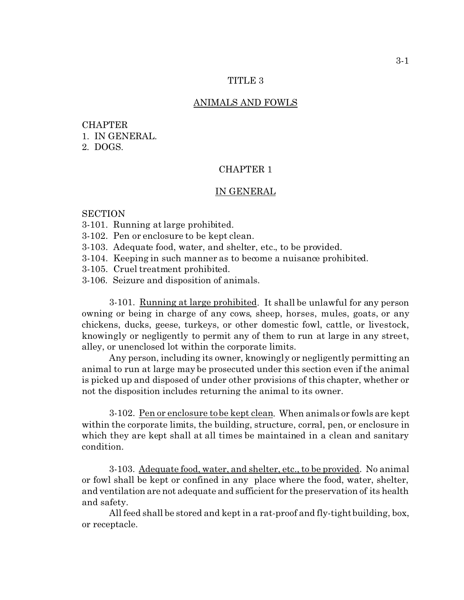## TITLE 3

#### ANIMALS AND FOWLS

# **CHAPTER** 1. IN GENERAL. 2. DOGS.

## CHAPTER 1

### IN GENERAL

### **SECTION**

- 3-101. Running at large prohibited.
- 3-102. Pen or enclosure to be kept clean.
- 3-103. Adequate food, water, and shelter, etc., to be provided.
- 3-104. Keeping in such manner as to become a nuisance prohibited.
- 3-105. Cruel treatment prohibited.
- 3-106. Seizure and disposition of animals.

3-101. Running at large prohibited. It shall be unlawful for any person owning or being in charge of any cows, sheep, horses, mules, goats, or any chickens, ducks, geese, turkeys, or other domestic fowl, cattle, or livestock, knowingly or negligently to permit any of them to run at large in any street, alley, or unenclosed lot within the corporate limits.

Any person, including its owner, knowingly or negligently permitting an animal to run at large may be prosecuted under this section even if the animal is picked up and disposed of under other provisions of this chapter, whether or not the disposition includes returning the animal to its owner.

3-102. Pen or enclosure to be kept clean. When animals or fowls are kept within the corporate limits, the building, structure, corral, pen, or enclosure in which they are kept shall at all times be maintained in a clean and sanitary condition.

3-103. Adequate food, water, and shelter, etc., to be provided. No animal or fowl shall be kept or confined in any place where the food, water, shelter, and ventilation are not adequate and sufficient for the preservation of its health and safety.

All feed shall be stored and kept in a rat-proof and fly-tight building, box, or receptacle.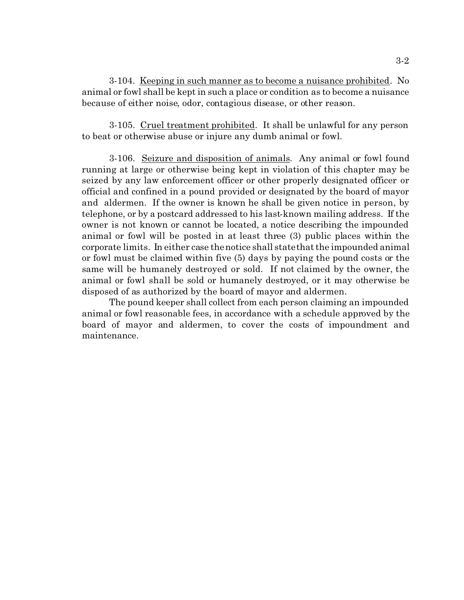3-104. Keeping in such manner as to become a nuisance prohibited. No animal or fowl shall be kept in such a place or condition as to become a nuisance because of either noise, odor, contagious disease, or other reason.

3-105. Cruel treatment prohibited. It shall be unlawful for any person to beat or otherwise abuse or injure any dumb animal or fowl.

3-106. Seizure and disposition of animals. Any animal or fowl found running at large or otherwise being kept in violation of this chapter may be seized by any law enforcement officer or other properly designated officer or official and confined in a pound provided or designated by the board of mayor and aldermen. If the owner is known he shall be given notice in person, by telephone, or by a postcard addressed to his last-known mailing address. If the owner is not known or cannot be located, a notice describing the impounded animal or fowl will be posted in at least three (3) public places within the corporate limits. In either case the notice shall state that the impounded animal or fowl must be claimed within five (5) days by paying the pound costs or the same will be humanely destroyed or sold. If not claimed by the owner, the animal or fowl shall be sold or humanely destroyed, or it may otherwise be disposed of as authorized by the board of mayor and aldermen.

The pound keeper shall collect from each person claiming an impounded animal or fowl reasonable fees, in accordance with a schedule approved by the board of mayor and aldermen, to cover the costs of impoundment and maintenance.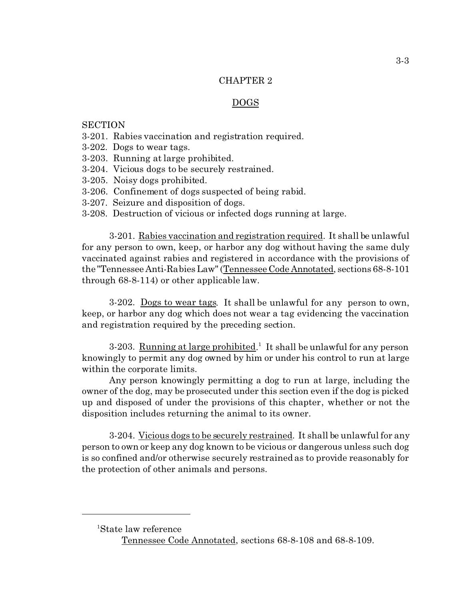## DOGS

## **SECTION**

- 3-201. Rabies vaccination and registration required.
- 3-202. Dogs to wear tags.
- 3-203. Running at large prohibited.
- 3-204. Vicious dogs to be securely restrained.
- 3-205. Noisy dogs prohibited.
- 3-206. Confinement of dogs suspected of being rabid.
- 3-207. Seizure and disposition of dogs.
- 3-208. Destruction of vicious or infected dogs running at large.

3-201. Rabies vaccination and registration required. It shall be unlawful for any person to own, keep, or harbor any dog without having the same duly vaccinated against rabies and registered in accordance with the provisions of the "Tennessee Anti-Rabies Law" (Tennessee Code Annotated, sections 68-8-101 through 68-8-114) or other applicable law.

3-202. Dogs to wear tags. It shall be unlawful for any person to own, keep, or harbor any dog which does not wear a tag evidencing the vaccination and registration required by the preceding section.

3-203. Running at large prohibited.<sup>1</sup> It shall be unlawful for any person knowingly to permit any dog owned by him or under his control to run at large within the corporate limits.

Any person knowingly permitting a dog to run at large, including the owner of the dog, may be prosecuted under this section even if the dog is picked up and disposed of under the provisions of this chapter, whether or not the disposition includes returning the animal to its owner.

3-204. Vicious dogs to be securely restrained. It shall be unlawful for any person to own or keep any dog known to be vicious or dangerous unless such dog is so confined and/or otherwise securely restrained as to provide reasonably for the protection of other animals and persons.

<sup>1</sup>State law reference

Tennessee Code Annotated, sections 68-8-108 and 68-8-109.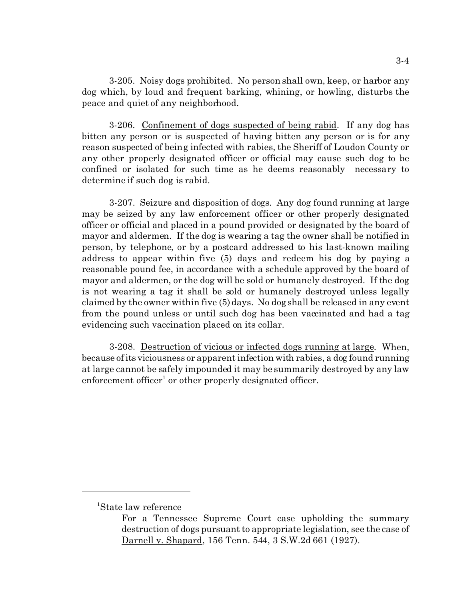3-205. Noisy dogs prohibited. No person shall own, keep, or harbor any dog which, by loud and frequent barking, whining, or howling, disturbs the peace and quiet of any neighborhood.

3-206. Confinement of dogs suspected of being rabid. If any dog has bitten any person or is suspected of having bitten any person or is for any reason suspected of being infected with rabies, the Sheriff of Loudon County or any other properly designated officer or official may cause such dog to be confined or isolated for such time as he deems reasonably necessary to determine if such dog is rabid.

3-207. Seizure and disposition of dogs. Any dog found running at large may be seized by any law enforcement officer or other properly designated officer or official and placed in a pound provided or designated by the board of mayor and aldermen. If the dog is wearing a tag the owner shall be notified in person, by telephone, or by a postcard addressed to his last-known mailing address to appear within five (5) days and redeem his dog by paying a reasonable pound fee, in accordance with a schedule approved by the board of mayor and aldermen, or the dog will be sold or humanely destroyed. If the dog is not wearing a tag it shall be sold or humanely destroyed unless legally claimed by the owner within five (5) days. No dog shall be released in any event from the pound unless or until such dog has been vaccinated and had a tag evidencing such vaccination placed on its collar.

3-208. Destruction of vicious or infected dogs running at large. When, because of its viciousness or apparent infection with rabies, a dog found running at large cannot be safely impounded it may be summarily destroyed by any law enforcement officer<sup>1</sup> or other properly designated officer.

<sup>1</sup>State law reference

For a Tennessee Supreme Court case upholding the summary destruction of dogs pursuant to appropriate legislation, see the case of Darnell v. Shapard, 156 Tenn. 544, 3 S.W.2d 661 (1927).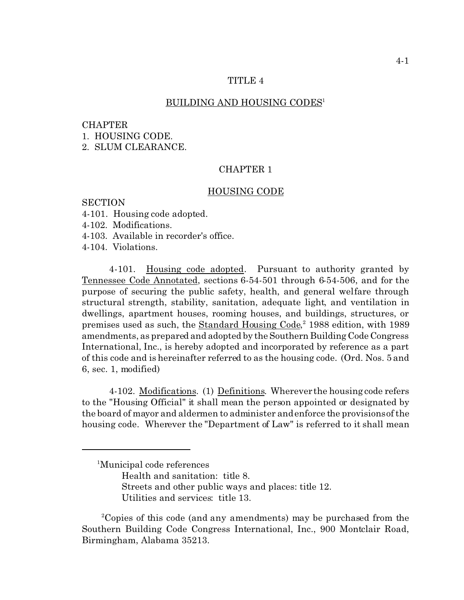## TITLE<sub>4</sub>

#### BUILDING AND HOUSING CODES<sup>1</sup>

#### CHAPTER

1. HOUSING CODE.

2. SLUM CLEARANCE.

## CHAPTER 1

#### HOUSING CODE

### **SECTION**

- 4-101. Housing code adopted.
- 4-102. Modifications.
- 4-103. Available in recorder's office.
- 4-104. Violations.

4-101. Housing code adopted. Pursuant to authority granted by Tennessee Code Annotated, sections 6-54-501 through 6-54-506, and for the purpose of securing the public safety, health, and general welfare through structural strength, stability, sanitation, adequate light, and ventilation in dwellings, apartment houses, rooming houses, and buildings, structures, or premises used as such, the **Standard Housing Code**,<sup>2</sup> 1988 edition, with 1989 amendments, as prepared and adopted by the Southern Building Code Congress International, Inc., is hereby adopted and incorporated by reference as a part of this code and is hereinafter referred to as the housing code. (Ord. Nos. 5 and 6, sec. 1, modified)

4-102. Modifications. (1) Definitions. Wherever the housing code refers to the "Housing Official" it shall mean the person appointed or designated by the board of mayor and aldermen to administer and enforce the provisions of the housing code. Wherever the "Department of Law" is referred to it shall mean

Utilities and services: title 13.

<sup>&</sup>lt;sup>1</sup>Municipal code references

Health and sanitation: title 8.

Streets and other public ways and places: title 12.

<sup>2</sup>Copies of this code (and any amendments) may be purchased from the Southern Building Code Congress International, Inc., 900 Montclair Road, Birmingham, Alabama 35213.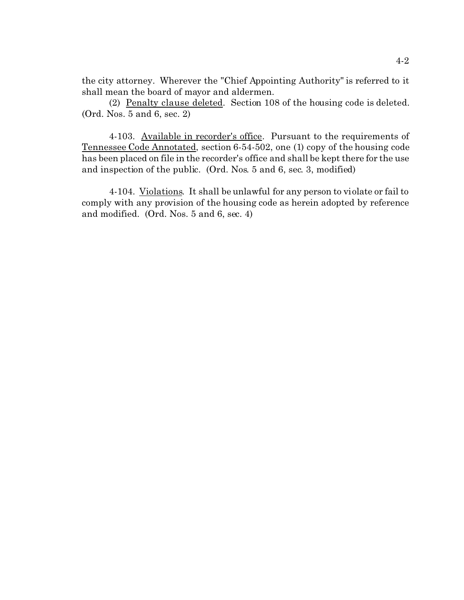the city attorney. Wherever the "Chief Appointing Authority" is referred to it shall mean the board of mayor and aldermen.

(2) Penalty clause deleted. Section 108 of the housing code is deleted. (Ord. Nos. 5 and 6, sec. 2)

4-103. Available in recorder's office. Pursuant to the requirements of Tennessee Code Annotated, section 6-54-502, one (1) copy of the housing code has been placed on file in the recorder's office and shall be kept there for the use and inspection of the public. (Ord. Nos. 5 and 6, sec. 3, modified)

4-104. Violations. It shall be unlawful for any person to violate or fail to comply with any provision of the housing code as herein adopted by reference and modified. (Ord. Nos. 5 and 6, sec. 4)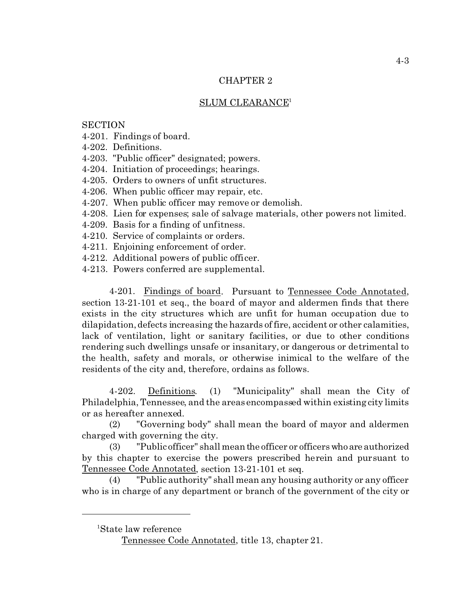# SLUM CLEARANCE<sup>1</sup>

**SECTION** 

- 4-201. Findings of board.
- 4-202. Definitions.
- 4-203. "Public officer" designated; powers.
- 4-204. Initiation of proceedings; hearings.
- 4-205. Orders to owners of unfit structures.
- 4-206. When public officer may repair, etc.
- 4-207. When public officer may remove or demolish.
- 4-208. Lien for expenses; sale of salvage materials, other powers not limited.
- 4-209. Basis for a finding of unfitness.
- 4-210. Service of complaints or orders.
- 4-211. Enjoining enforcement of order.
- 4-212. Additional powers of public officer.
- 4-213. Powers conferred are supplemental.

4-201. Findings of board. Pursuant to Tennessee Code Annotated, section 13-21-101 et seq., the board of mayor and aldermen finds that there exists in the city structures which are unfit for human occupation due to dilapidation, defects increasing the hazards of fire, accident or other calamities, lack of ventilation, light or sanitary facilities, or due to other conditions rendering such dwellings unsafe or insanitary, or dangerous or detrimental to the health, safety and morals, or otherwise inimical to the welfare of the residents of the city and, therefore, ordains as follows.

4-202. Definitions. (1) "Municipality" shall mean the City of Philadelphia, Tennessee, and the areas encompassed within existing city limits or as hereafter annexed.

(2) "Governing body" shall mean the board of mayor and aldermen charged with governing the city.

(3) "Public officer" shall mean the officer or officers who are authorized by this chapter to exercise the powers prescribed herein and pursuant to Tennessee Code Annotated, section 13-21-101 et seq.

(4) "Public authority" shall mean any housing authority or any officer who is in charge of any department or branch of the government of the city or

<sup>1</sup>State law reference

Tennessee Code Annotated, title 13, chapter 21.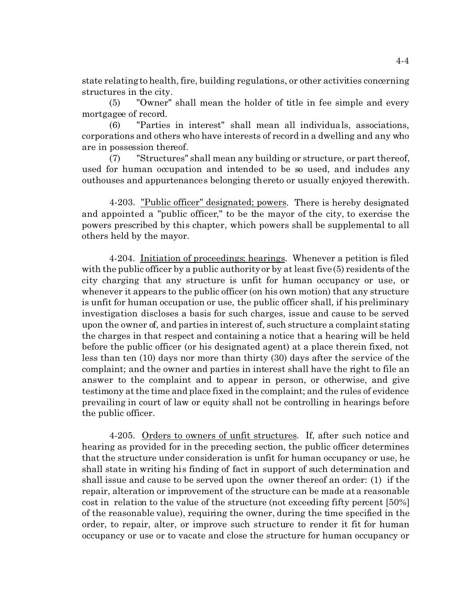state relating to health, fire, building regulations, or other activities concerning structures in the city.

(5) "Owner" shall mean the holder of title in fee simple and every mortgagee of record.

(6) "Parties in interest" shall mean all individuals, associations, corporations and others who have interests of record in a dwelling and any who are in possession thereof.

(7) "Structures" shall mean any building or structure, or part thereof, used for human occupation and intended to be so used, and includes any outhouses and appurtenances belonging thereto or usually enjoyed therewith.

4-203. "Public officer" designated; powers. There is hereby designated and appointed a "public officer," to be the mayor of the city, to exercise the powers prescribed by this chapter, which powers shall be supplemental to all others held by the mayor.

4-204. Initiation of proceedings; hearings. Whenever a petition is filed with the public officer by a public authority or by at least five (5) residents of the city charging that any structure is unfit for human occupancy or use, or whenever it appears to the public officer (on his own motion) that any structure is unfit for human occupation or use, the public officer shall, if his preliminary investigation discloses a basis for such charges, issue and cause to be served upon the owner of, and parties in interest of, such structure a complaint stating the charges in that respect and containing a notice that a hearing will be held before the public officer (or his designated agent) at a place therein fixed, not less than ten (10) days nor more than thirty (30) days after the service of the complaint; and the owner and parties in interest shall have the right to file an answer to the complaint and to appear in person, or otherwise, and give testimony at the time and place fixed in the complaint; and the rules of evidence prevailing in court of law or equity shall not be controlling in hearings before the public officer.

4-205. Orders to owners of unfit structures. If, after such notice and hearing as provided for in the preceding section, the public officer determines that the structure under consideration is unfit for human occupancy or use, he shall state in writing his finding of fact in support of such determination and shall issue and cause to be served upon the owner thereof an order: (1) if the repair, alteration or improvement of the structure can be made at a reasonable cost in relation to the value of the structure (not exceeding fifty percent [50%] of the reasonable value), requiring the owner, during the time specified in the order, to repair, alter, or improve such structure to render it fit for human occupancy or use or to vacate and close the structure for human occupancy or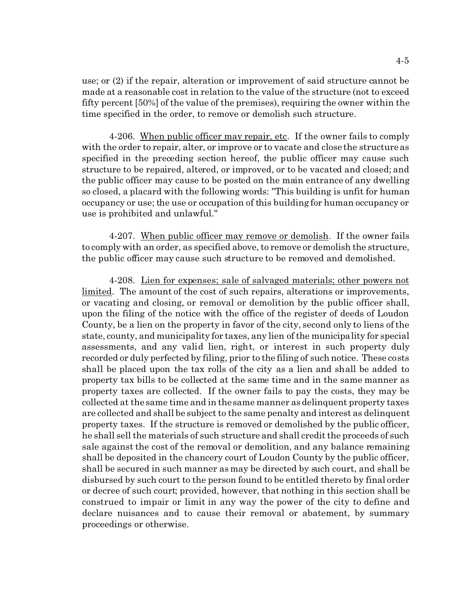use; or (2) if the repair, alteration or improvement of said structure cannot be made at a reasonable cost in relation to the value of the structure (not to exceed fifty percent [50%] of the value of the premises), requiring the owner within the time specified in the order, to remove or demolish such structure.

4-206. When public officer may repair, etc. If the owner fails to comply with the order to repair, alter, or improve or to vacate and close the structure as specified in the preceding section hereof, the public officer may cause such structure to be repaired, altered, or improved, or to be vacated and closed; and the public officer may cause to be posted on the main entrance of any dwelling so closed, a placard with the following words: "This building is unfit for human occupancy or use; the use or occupation of this building for human occupancy or use is prohibited and unlawful."

4-207. When public officer may remove or demolish. If the owner fails to comply with an order, as specified above, to remove or demolish the structure, the public officer may cause such structure to be removed and demolished.

4-208. Lien for expenses; sale of salvaged materials; other powers not limited. The amount of the cost of such repairs, alterations or improvements, or vacating and closing, or removal or demolition by the public officer shall, upon the filing of the notice with the office of the register of deeds of Loudon County, be a lien on the property in favor of the city, second only to liens of the state, county, and municipality for taxes, any lien of the municipality for special assessments, and any valid lien, right, or interest in such property duly recorded or duly perfected by filing, prior to the filing of such notice. These costs shall be placed upon the tax rolls of the city as a lien and shall be added to property tax bills to be collected at the same time and in the same manner as property taxes are collected. If the owner fails to pay the costs, they may be collected at the same time and in the same manner as delinquent property taxes are collected and shall be subject to the same penalty and interest as delinquent property taxes. If the structure is removed or demolished by the public officer, he shall sell the materials of such structure and shall credit the proceeds of such sale against the cost of the removal or demolition, and any balance remaining shall be deposited in the chancery court of Loudon County by the public officer, shall be secured in such manner as may be directed by such court, and shall be disbursed by such court to the person found to be entitled thereto by final order or decree of such court; provided, however, that nothing in this section shall be construed to impair or limit in any way the power of the city to define and declare nuisances and to cause their removal or abatement, by summary proceedings or otherwise.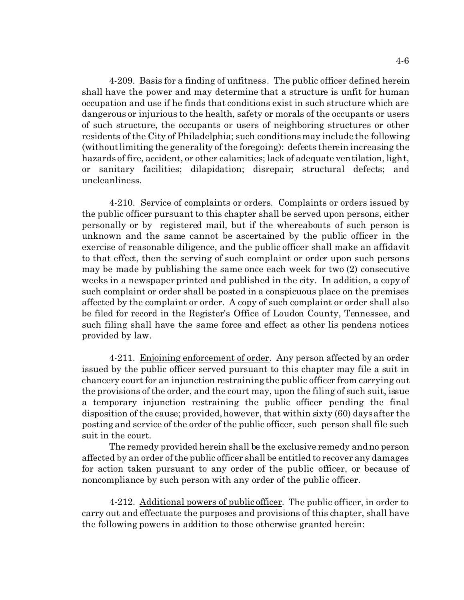4-209. Basis for a finding of unfitness. The public officer defined herein shall have the power and may determine that a structure is unfit for human occupation and use if he finds that conditions exist in such structure which are dangerous or injurious to the health, safety or morals of the occupants or users of such structure, the occupants or users of neighboring structures or other residents of the City of Philadelphia; such conditions may include the following (without limiting the generality of the foregoing): defects therein increasing the hazards of fire, accident, or other calamities; lack of adequate ventilation, light, or sanitary facilities; dilapidation; disrepair; structural defects; and uncleanliness.

4-210. Service of complaints or orders. Complaints or orders issued by the public officer pursuant to this chapter shall be served upon persons, either personally or by registered mail, but if the whereabouts of such person is unknown and the same cannot be ascertained by the public officer in the exercise of reasonable diligence, and the public officer shall make an affidavit to that effect, then the serving of such complaint or order upon such persons may be made by publishing the same once each week for two (2) consecutive weeks in a newspaper printed and published in the city. In addition, a copy of such complaint or order shall be posted in a conspicuous place on the premises affected by the complaint or order. A copy of such complaint or order shall also be filed for record in the Register's Office of Loudon County, Tennessee, and such filing shall have the same force and effect as other lis pendens notices provided by law.

4-211. Enjoining enforcement of order. Any person affected by an order issued by the public officer served pursuant to this chapter may file a suit in chancery court for an injunction restraining the public officer from carrying out the provisions of the order, and the court may, upon the filing of such suit, issue a temporary injunction restraining the public officer pending the final disposition of the cause; provided, however, that within sixty (60) days after the posting and service of the order of the public officer, such person shall file such suit in the court.

The remedy provided herein shall be the exclusive remedy and no person affected by an order of the public officer shall be entitled to recover any damages for action taken pursuant to any order of the public officer, or because of noncompliance by such person with any order of the public officer.

4-212. Additional powers of public officer. The public officer, in order to carry out and effectuate the purposes and provisions of this chapter, shall have the following powers in addition to those otherwise granted herein: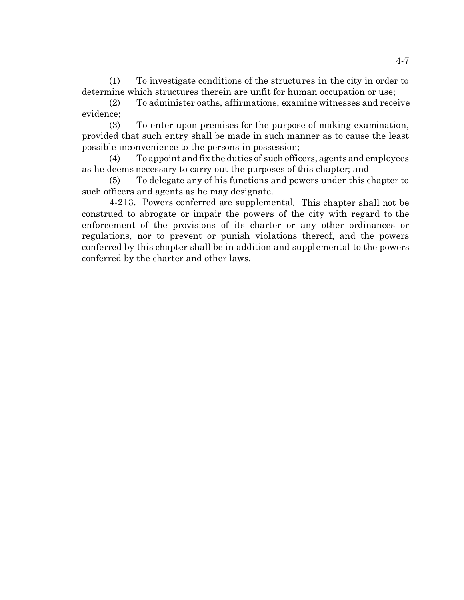(1) To investigate conditions of the structures in the city in order to determine which structures therein are unfit for human occupation or use;

(2) To administer oaths, affirmations, examine witnesses and receive evidence;

(3) To enter upon premises for the purpose of making examination, provided that such entry shall be made in such manner as to cause the least possible inconvenience to the persons in possession;

(4) To appoint and fix the duties of such officers, agents and employees as he deems necessary to carry out the purposes of this chapter; and

(5) To delegate any of his functions and powers under this chapter to such officers and agents as he may designate.

4-213. Powers conferred are supplemental. This chapter shall not be construed to abrogate or impair the powers of the city with regard to the enforcement of the provisions of its charter or any other ordinances or regulations, nor to prevent or punish violations thereof, and the powers conferred by this chapter shall be in addition and supplemental to the powers conferred by the charter and other laws.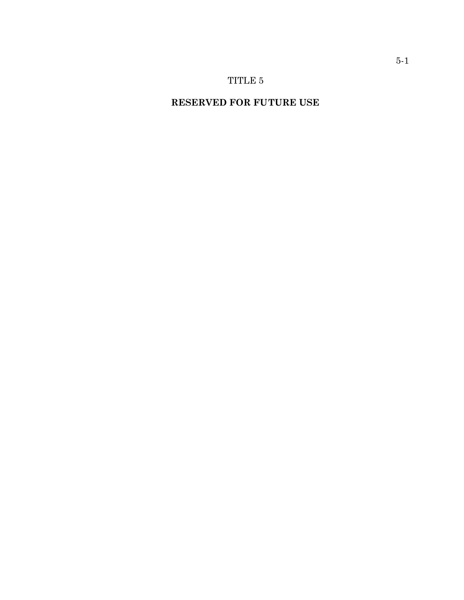# **RESERVED FOR FUTURE USE**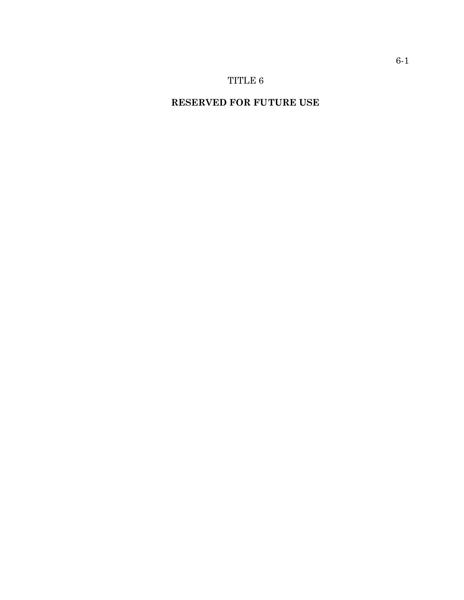# **RESERVED FOR FUTURE USE**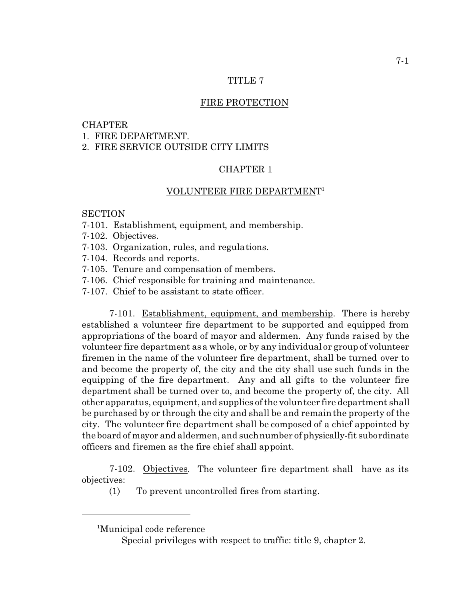## TITLE 7

## FIRE PROTECTION

### CHAPTER

1. FIRE DEPARTMENT.

## 2. FIRE SERVICE OUTSIDE CITY LIMITS

## CHAPTER 1

## VOLUNTEER FIRE DEPARTMENT 1

## **SECTION**

- 7-101. Establishment, equipment, and membership.
- 7-102. Objectives.
- 7-103. Organization, rules, and regulations.
- 7-104. Records and reports.
- 7-105. Tenure and compensation of members.
- 7-106. Chief responsible for training and maintenance.
- 7-107. Chief to be assistant to state officer.

7-101. Establishment, equipment, and membership. There is hereby established a volunteer fire department to be supported and equipped from appropriations of the board of mayor and aldermen. Any funds raised by the volunteer fire department as a whole, or by any individual or group of volunteer firemen in the name of the volunteer fire department, shall be turned over to and become the property of, the city and the city shall use such funds in the equipping of the fire department. Any and all gifts to the volunteer fire department shall be turned over to, and become the property of, the city. All other apparatus, equipment, and supplies of the volunteer fire department shall be purchased by or through the city and shall be and remain the property of the city. The volunteer fire department shall be composed of a chief appointed by the board of mayor and aldermen, and such number of physically-fit subordinate officers and firemen as the fire chief shall appoint.

7-102. Objectives. The volunteer fire department shall have as its objectives:

(1) To prevent uncontrolled fires from starting.

Special privileges with respect to traffic: title 9, chapter 2.

<sup>1</sup>Municipal code reference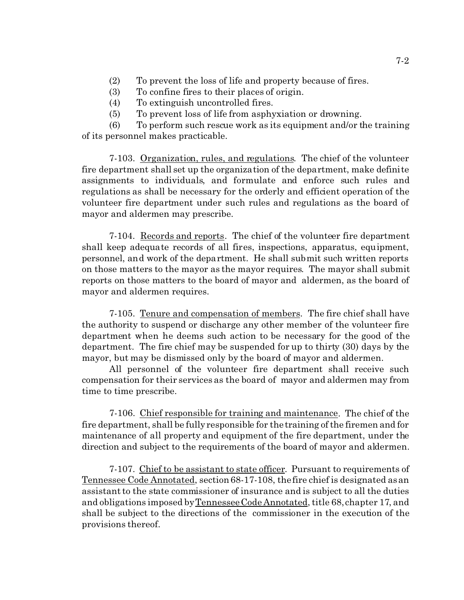- (2) To prevent the loss of life and property because of fires.
- (3) To confine fires to their places of origin.
- (4) To extinguish uncontrolled fires.
- (5) To prevent loss of life from asphyxiation or drowning.

(6) To perform such rescue work as its equipment and/or the training of its personnel makes practicable.

7-103. Organization, rules, and regulations. The chief of the volunteer fire department shall set up the organization of the department, make definite assignments to individuals, and formulate and enforce such rules and regulations as shall be necessary for the orderly and efficient operation of the volunteer fire department under such rules and regulations as the board of mayor and aldermen may prescribe.

7-104. Records and reports. The chief of the volunteer fire department shall keep adequate records of all fires, inspections, apparatus, equipment, personnel, and work of the department. He shall submit such written reports on those matters to the mayor as the mayor requires. The mayor shall submit reports on those matters to the board of mayor and aldermen, as the board of mayor and aldermen requires.

7-105. Tenure and compensation of members. The fire chief shall have the authority to suspend or discharge any other member of the volunteer fire department when he deems such action to be necessary for the good of the department. The fire chief may be suspended for up to thirty (30) days by the mayor, but may be dismissed only by the board of mayor and aldermen.

All personnel of the volunteer fire department shall receive such compensation for their services as the board of mayor and aldermen may from time to time prescribe.

7-106. Chief responsible for training and maintenance. The chief of the fire department, shall be fully responsible for the training of the firemen and for maintenance of all property and equipment of the fire department, under the direction and subject to the requirements of the board of mayor and aldermen.

7-107. Chief to be assistant to state officer. Pursuant to requirements of Tennessee Code Annotated, section 68-17-108, the fire chief is designated as an assistant to the state commissioner of insurance and is subject to all the duties and obligations imposed by Tennessee Code Annotated, title 68, chapter 17, and shall be subject to the directions of the commissioner in the execution of the provisions thereof.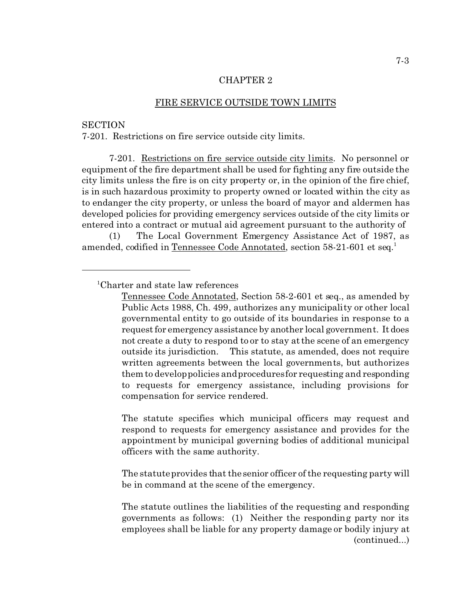#### FIRE SERVICE OUTSIDE TOWN LIMITS

## **SECTION**

7-201. Restrictions on fire service outside city limits.

7-201. Restrictions on fire service outside city limits. No personnel or equipment of the fire department shall be used for fighting any fire outside the city limits unless the fire is on city property or, in the opinion of the fire chief, is in such hazardous proximity to property owned or located within the city as to endanger the city property, or unless the board of mayor and aldermen has developed policies for providing emergency services outside of the city limits or entered into a contract or mutual aid agreement pursuant to the authority of

(1) The Local Government Emergency Assistance Act of 1987, as amended, codified in Tennessee Code Annotated, section 58-21-601 et seq.<sup>1</sup>

The statute specifies which municipal officers may request and respond to requests for emergency assistance and provides for the appointment by municipal governing bodies of additional municipal officers with the same authority.

The statute provides that the senior officer of the requesting party will be in command at the scene of the emergency.

The statute outlines the liabilities of the requesting and responding governments as follows: (1) Neither the responding party nor its employees shall be liable for any property damage or bodily injury at (continued...)

<sup>1</sup>Charter and state law references

Tennessee Code Annotated, Section 58-2-601 et seq., as amended by Public Acts 1988, Ch. 499, authorizes any municipality or other local governmental entity to go outside of its boundaries in response to a request for emergency assistance by another local government. It does not create a duty to respond to or to stay at the scene of an emergency outside its jurisdiction. This statute, as amended, does not require written agreements between the local governments, but authorizes them to develop policies and procedures for requesting and responding to requests for emergency assistance, including provisions for compensation for service rendered.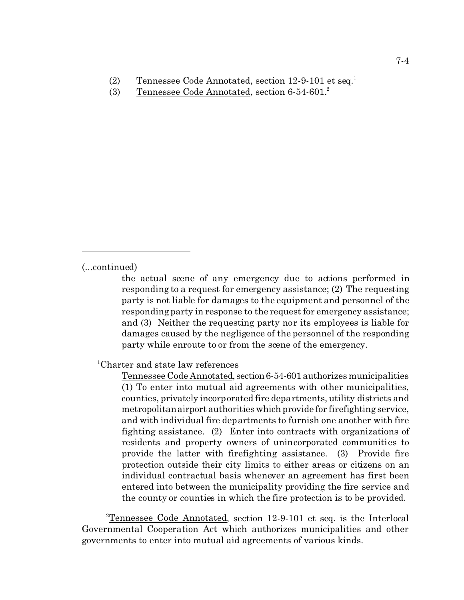- (2) Tennessee Code Annotated, section 12-9-101 et seq.<sup>1</sup>
- (3) Tennessee Code Annotated, section 6-54-601.<sup>2</sup>

(...continued)

the actual scene of any emergency due to actions performed in responding to a request for emergency assistance; (2) The requesting party is not liable for damages to the equipment and personnel of the responding party in response to the request for emergency assistance; and (3) Neither the requesting party nor its employees is liable for damages caused by the negligence of the personnel of the responding party while enroute to or from the scene of the emergency.

<sup>1</sup>Charter and state law references

Tennessee Code Annotated, section 6-54-601 authorizes municipalities (1) To enter into mutual aid agreements with other municipalities, counties, privately incorporated fire departments, utility districts and metropolitan airport authorities which provide for firefighting service, and with individual fire departments to furnish one another with fire fighting assistance. (2) Enter into contracts with organizations of residents and property owners of unincorporated communities to provide the latter with firefighting assistance. (3) Provide fire protection outside their city limits to either areas or citizens on an individual contractual basis whenever an agreement has first been entered into between the municipality providing the fire service and the county or counties in which the fire protection is to be provided.

<sup>2</sup>Tennessee Code Annotated, section 12-9-101 et seq. is the Interlocal Governmental Cooperation Act which authorizes municipalities and other governments to enter into mutual aid agreements of various kinds.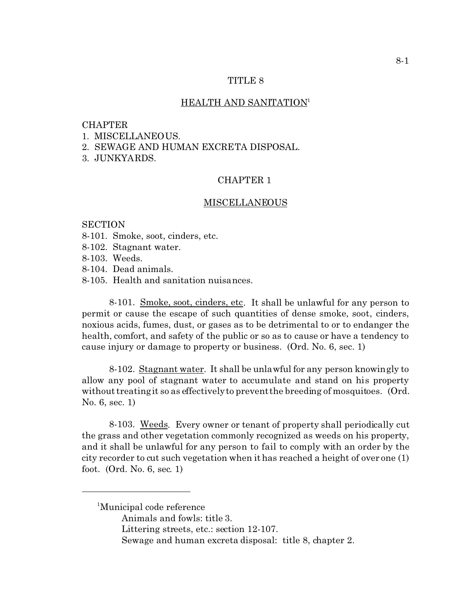### TITLE 8

#### HEALTH AND SANITATION<sup>1</sup>

#### CHAPTER

- 1. MISCELLANEOUS.
- 2. SEWAGE AND HUMAN EXCRETA DISPOSAL.
- 3. JUNKYARDS.

# CHAPTER 1

#### MISCELLANEOUS

## **SECTION**

- 8-101. Smoke, soot, cinders, etc.
- 8-102. Stagnant water.
- 8-103. Weeds.
- 8-104. Dead animals.
- 8-105. Health and sanitation nuisances.

8-101. Smoke, soot, cinders, etc. It shall be unlawful for any person to permit or cause the escape of such quantities of dense smoke, soot, cinders, noxious acids, fumes, dust, or gases as to be detrimental to or to endanger the health, comfort, and safety of the public or so as to cause or have a tendency to cause injury or damage to property or business. (Ord. No. 6, sec. 1)

8-102. Stagnant water. It shall be unlawful for any person knowingly to allow any pool of stagnant water to accumulate and stand on his property without treating it so as effectively to prevent the breeding of mosquitoes. (Ord. No. 6, sec. 1)

8-103. Weeds. Every owner or tenant of property shall periodically cut the grass and other vegetation commonly recognized as weeds on his property, and it shall be unlawful for any person to fail to comply with an order by the city recorder to cut such vegetation when it has reached a height of over one (1) foot. (Ord. No. 6, sec. 1)

<sup>1</sup>Municipal code reference

- Animals and fowls: title 3.
- Littering streets, etc.: section 12-107.
- Sewage and human excreta disposal: title 8, chapter 2.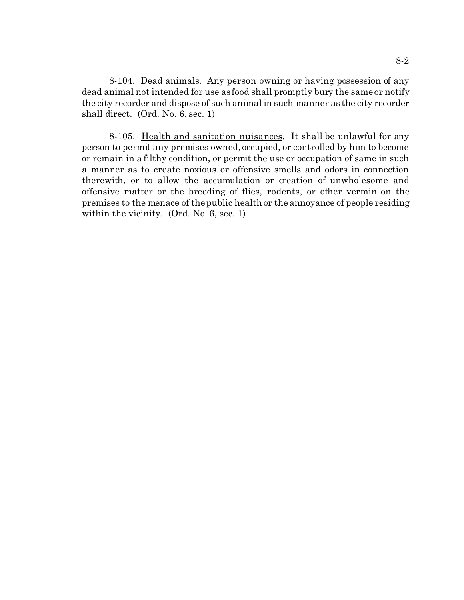8-104. Dead animals. Any person owning or having possession of any dead animal not intended for use as food shall promptly bury the same or notify the city recorder and dispose of such animal in such manner as the city recorder shall direct. (Ord. No. 6, sec. 1)

8-105. Health and sanitation nuisances. It shall be unlawful for any person to permit any premises owned, occupied, or controlled by him to become or remain in a filthy condition, or permit the use or occupation of same in such a manner as to create noxious or offensive smells and odors in connection therewith, or to allow the accumulation or creation of unwholesome and offensive matter or the breeding of flies, rodents, or other vermin on the premises to the menace of the public health or the annoyance of people residing within the vicinity. (Ord. No. 6, sec. 1)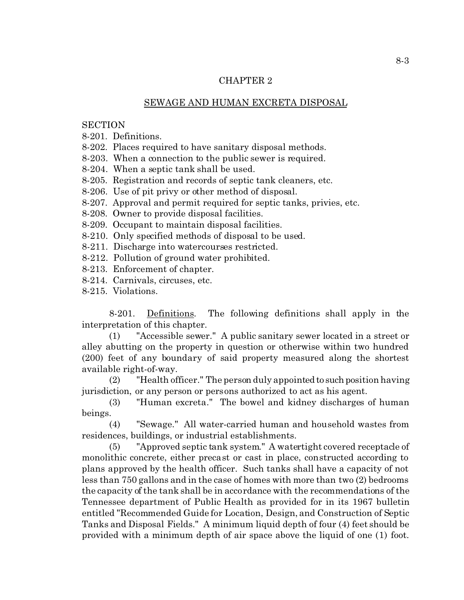# SEWAGE AND HUMAN EXCRETA DISPOSAL

**SECTION** 

8-201. Definitions.

8-202. Places required to have sanitary disposal methods.

8-203. When a connection to the public sewer is required.

8-204. When a septic tank shall be used.

8-205. Registration and records of septic tank cleaners, etc.

8-206. Use of pit privy or other method of disposal.

8-207. Approval and permit required for septic tanks, privies, etc.

8-208. Owner to provide disposal facilities.

8-209. Occupant to maintain disposal facilities.

8-210. Only specified methods of disposal to be used.

8-211. Discharge into watercourses restricted.

8-212. Pollution of ground water prohibited.

8-213. Enforcement of chapter.

8-214. Carnivals, circuses, etc.

8-215. Violations.

8-201. Definitions. The following definitions shall apply in the interpretation of this chapter.

(1) "Accessible sewer." A public sanitary sewer located in a street or alley abutting on the property in question or otherwise within two hundred (200) feet of any boundary of said property measured along the shortest available right-of-way.

 $(2)$  "Health officer." The person duly appointed to such position having jurisdiction, or any person or persons authorized to act as his agent.

(3) "Human excreta." The bowel and kidney discharges of human beings.

(4) "Sewage." All water-carried human and household wastes from residences, buildings, or industrial establishments.

(5) "Approved septic tank system." A watertight covered receptacle of monolithic concrete, either precast or cast in place, constructed according to plans approved by the health officer. Such tanks shall have a capacity of not less than 750 gallons and in the case of homes with more than two (2) bedrooms the capacity of the tank shall be in accordance with the recommendations of the Tennessee department of Public Health as provided for in its 1967 bulletin entitled "Recommended Guide for Location, Design, and Construction of Septic Tanks and Disposal Fields." A minimum liquid depth of four (4) feet should be provided with a minimum depth of air space above the liquid of one (1) foot.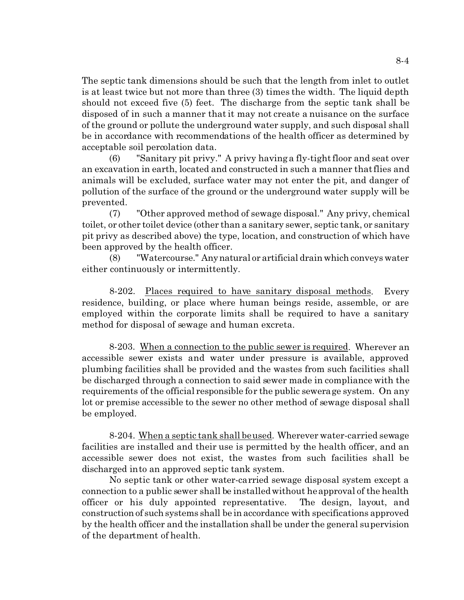The septic tank dimensions should be such that the length from inlet to outlet is at least twice but not more than three (3) times the width. The liquid depth should not exceed five (5) feet. The discharge from the septic tank shall be disposed of in such a manner that it may not create a nuisance on the surface of the ground or pollute the underground water supply, and such disposal shall be in accordance with recommendations of the health officer as determined by acceptable soil percolation data.

(6) "Sanitary pit privy." A privy having a fly-tight floor and seat over an excavation in earth, located and constructed in such a manner that flies and animals will be excluded, surface water may not enter the pit, and danger of pollution of the surface of the ground or the underground water supply will be prevented.

(7) "Other approved method of sewage disposal." Any privy, chemical toilet, or other toilet device (other than a sanitary sewer, septic tank, or sanitary pit privy as described above) the type, location, and construction of which have been approved by the health officer.

(8) "Watercourse." Anynatural or artificial drain which conveys water either continuously or intermittently.

8-202. Places required to have sanitary disposal methods. Every residence, building, or place where human beings reside, assemble, or are employed within the corporate limits shall be required to have a sanitary method for disposal of sewage and human excreta.

8-203. When a connection to the public sewer is required. Wherever an accessible sewer exists and water under pressure is available, approved plumbing facilities shall be provided and the wastes from such facilities shall be discharged through a connection to said sewer made in compliance with the requirements of the official responsible for the public sewerage system. On any lot or premise accessible to the sewer no other method of sewage disposal shall be employed.

8-204. When a septic tank shall be used. Wherever water-carried sewage facilities are installed and their use is permitted by the health officer, and an accessible sewer does not exist, the wastes from such facilities shall be discharged into an approved septic tank system.

No septic tank or other water-carried sewage disposal system except a connection to a public sewer shall be installed without he approval of the health officer or his duly appointed representative. The design, layout, and construction of such systems shall be in accordance with specifications approved by the health officer and the installation shall be under the general supervision of the department of health.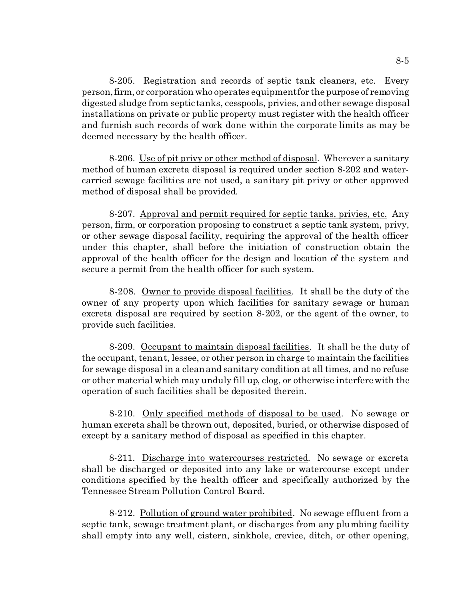8-205. Registration and records of septic tank cleaners, etc. Every person, firm, or corporation who operates equipment for the purpose of removing digested sludge from septic tanks, cesspools, privies, and other sewage disposal installations on private or public property must register with the health officer and furnish such records of work done within the corporate limits as may be deemed necessary by the health officer.

8-206. Use of pit privy or other method of disposal. Wherever a sanitary method of human excreta disposal is required under section 8-202 and watercarried sewage facilities are not used, a sanitary pit privy or other approved method of disposal shall be provided.

8-207. Approval and permit required for septic tanks, privies, etc. Any person, firm, or corporation proposing to construct a septic tank system, privy, or other sewage disposal facility, requiring the approval of the health officer under this chapter, shall before the initiation of construction obtain the approval of the health officer for the design and location of the system and secure a permit from the health officer for such system.

8-208. Owner to provide disposal facilities. It shall be the duty of the owner of any property upon which facilities for sanitary sewage or human excreta disposal are required by section 8-202, or the agent of the owner, to provide such facilities.

8-209. Occupant to maintain disposal facilities. It shall be the duty of the occupant, tenant, lessee, or other person in charge to maintain the facilities for sewage disposal in a clean and sanitary condition at all times, and no refuse or other material which may unduly fill up, clog, or otherwise interfere with the operation of such facilities shall be deposited therein.

8-210. Only specified methods of disposal to be used. No sewage or human excreta shall be thrown out, deposited, buried, or otherwise disposed of except by a sanitary method of disposal as specified in this chapter.

8-211. Discharge into watercourses restricted. No sewage or excreta shall be discharged or deposited into any lake or watercourse except under conditions specified by the health officer and specifically authorized by the Tennessee Stream Pollution Control Board.

8-212. Pollution of ground water prohibited. No sewage effluent from a septic tank, sewage treatment plant, or discharges from any plumbing facility shall empty into any well, cistern, sinkhole, crevice, ditch, or other opening,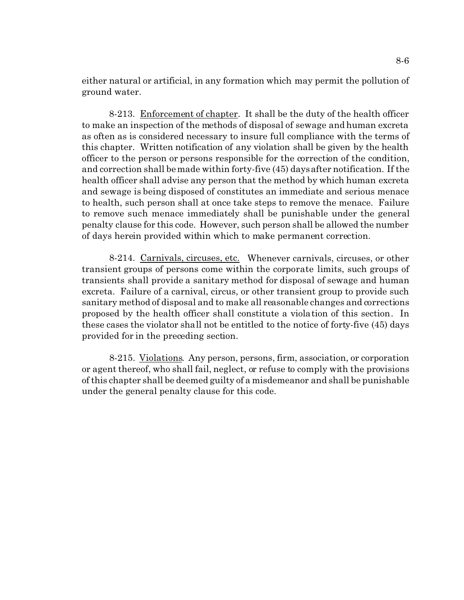either natural or artificial, in any formation which may permit the pollution of ground water.

8-213. Enforcement of chapter. It shall be the duty of the health officer to make an inspection of the methods of disposal of sewage and human excreta as often as is considered necessary to insure full compliance with the terms of this chapter. Written notification of any violation shall be given by the health officer to the person or persons responsible for the correction of the condition, and correction shall be made within forty-five (45) days after notification. If the health officer shall advise any person that the method by which human excreta and sewage is being disposed of constitutes an immediate and serious menace to health, such person shall at once take steps to remove the menace. Failure to remove such menace immediately shall be punishable under the general penalty clause for this code. However, such person shall be allowed the number of days herein provided within which to make permanent correction.

8-214. Carnivals, circuses, etc. Whenever carnivals, circuses, or other transient groups of persons come within the corporate limits, such groups of transients shall provide a sanitary method for disposal of sewage and human excreta. Failure of a carnival, circus, or other transient group to provide such sanitary method of disposal and to make all reasonable changes and corrections proposed by the health officer shall constitute a violation of this section. In these cases the violator shall not be entitled to the notice of forty-five (45) days provided for in the preceding section.

8-215. Violations. Any person, persons, firm, association, or corporation or agent thereof, who shall fail, neglect, or refuse to comply with the provisions of this chapter shall be deemed guilty of a misdemeanor and shall be punishable under the general penalty clause for this code.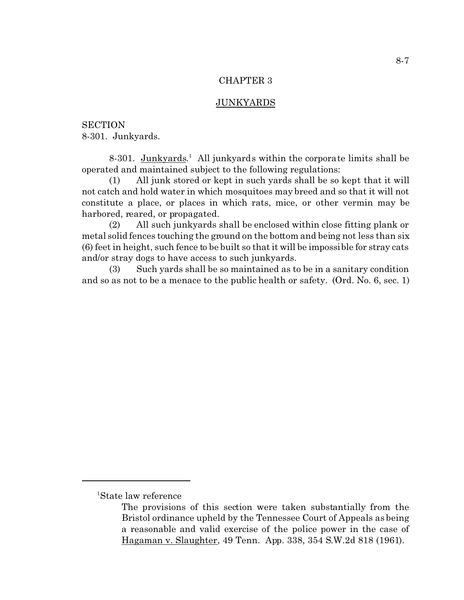#### JUNKYARDS

**SECTION** 8-301. Junkyards.

8-301. Junkyards.<sup>1</sup> All junkyards within the corporate limits shall be operated and maintained subject to the following regulations:

(1) All junk stored or kept in such yards shall be so kept that it will not catch and hold water in which mosquitoes may breed and so that it will not constitute a place, or places in which rats, mice, or other vermin may be harbored, reared, or propagated.

(2) All such junkyards shall be enclosed within close fitting plank or metal solid fences touching the ground on the bottom and being not less than six (6) feet in height, such fence to be built so that it will be impossible for stray cats and/or stray dogs to have access to such junkyards.

(3) Such yards shall be so maintained as to be in a sanitary condition and so as not to be a menace to the public health or safety. (Ord. No. 6, sec. 1)

<sup>1</sup>State law reference

The provisions of this section were taken substantially from the Bristol ordinance upheld by the Tennessee Court of Appeals as being a reasonable and valid exercise of the police power in the case of Hagaman v. Slaughter, 49 Tenn. App. 338, 354 S.W.2d 818 (1961).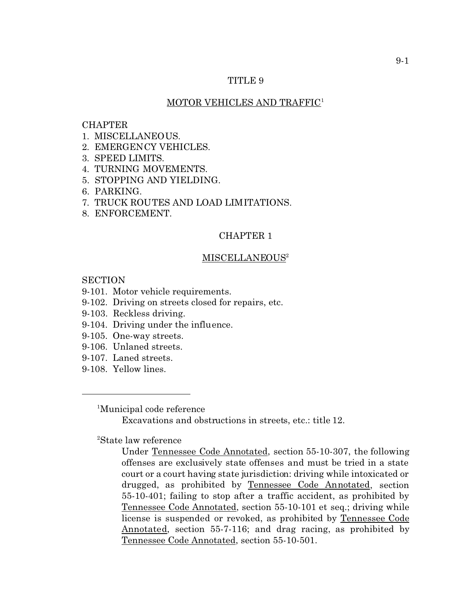# TITLE 9

### MOTOR VEHICLES AND TRAFFIC<sup>1</sup>

# CHAPTER

- 1. MISCELLANEOUS.
- 2. EMERGENCY VEHICLES.
- 3. SPEED LIMITS.
- 4. TURNING MOVEMENTS.
- 5. STOPPING AND YIELDING.
- 6. PARKING.
- 7. TRUCK ROUTES AND LOAD LIMITATIONS.
- 8. ENFORCEMENT.

# CHAPTER 1

#### MISCELLANEOUS<sup>2</sup>

**SECTION** 

# 9-101. Motor vehicle requirements.

- 9-102. Driving on streets closed for repairs, etc.
- 9-103. Reckless driving.
- 9-104. Driving under the influence.
- 9-105. One-way streets.
- 9-106. Unlaned streets.
- 9-107. Laned streets.
- 9-108. Yellow lines.

<sup>1</sup>Municipal code reference

Excavations and obstructions in streets, etc.: title 12.

<sup>2</sup>State law reference

Under Tennessee Code Annotated, section 55-10-307, the following offenses are exclusively state offenses and must be tried in a state court or a court having state jurisdiction: driving while intoxicated or drugged, as prohibited by Tennessee Code Annotated, section 55-10-401; failing to stop after a traffic accident, as prohibited by Tennessee Code Annotated, section 55-10-101 et seq.; driving while license is suspended or revoked, as prohibited by Tennessee Code Annotated, section 55-7-116; and drag racing, as prohibited by Tennessee Code Annotated, section 55-10-501.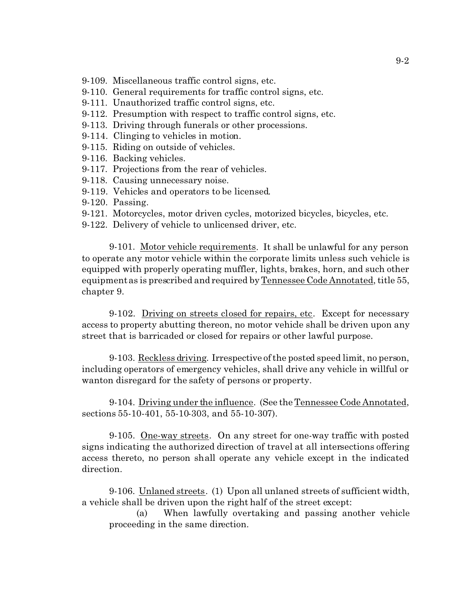9-109. Miscellaneous traffic control signs, etc.

- 9-110. General requirements for traffic control signs, etc.
- 9-111. Unauthorized traffic control signs, etc.
- 9-112. Presumption with respect to traffic control signs, etc.
- 9-113. Driving through funerals or other processions.
- 9-114. Clinging to vehicles in motion.
- 9-115. Riding on outside of vehicles.
- 9-116. Backing vehicles.
- 9-117. Projections from the rear of vehicles.
- 9-118. Causing unnecessary noise.
- 9-119. Vehicles and operators to be licensed.
- 9-120. Passing.
- 9-121. Motorcycles, motor driven cycles, motorized bicycles, bicycles, etc.
- 9-122. Delivery of vehicle to unlicensed driver, etc.

9-101. Motor vehicle requirements. It shall be unlawful for any person to operate any motor vehicle within the corporate limits unless such vehicle is equipped with properly operating muffler, lights, brakes, horn, and such other equipment as is prescribed and required by Tennessee Code Annotated, title 55, chapter 9.

9-102. Driving on streets closed for repairs, etc. Except for necessary access to property abutting thereon, no motor vehicle shall be driven upon any street that is barricaded or closed for repairs or other lawful purpose.

9-103. Reckless driving. Irrespective of the posted speed limit, no person, including operators of emergency vehicles, shall drive any vehicle in willful or wanton disregard for the safety of persons or property.

9-104. Driving under the influence. (See the Tennessee Code Annotated, sections 55-10-401, 55-10-303, and 55-10-307).

9-105. <u>One-way streets</u>. On any street for one-way traffic with posted signs indicating the authorized direction of travel at all intersections offering access thereto, no person shall operate any vehicle except in the indicated direction.

9-106. Unlaned streets. (1) Upon all unlaned streets of sufficient width, a vehicle shall be driven upon the right half of the street except:

(a) When lawfully overtaking and passing another vehicle proceeding in the same direction.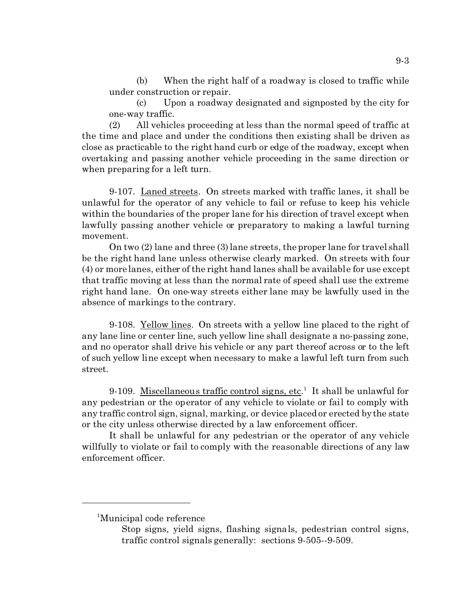(b) When the right half of a roadway is closed to traffic while under construction or repair.

(c) Upon a roadway designated and signposted by the city for one-way traffic.

(2) All vehicles proceeding at less than the normal speed of traffic at the time and place and under the conditions then existing shall be driven as close as practicable to the right hand curb or edge of the roadway, except when overtaking and passing another vehicle proceeding in the same direction or when preparing for a left turn.

9-107. Laned streets. On streets marked with traffic lanes, it shall be unlawful for the operator of any vehicle to fail or refuse to keep his vehicle within the boundaries of the proper lane for his direction of travel except when lawfully passing another vehicle or preparatory to making a lawful turning movement.

On two (2) lane and three (3) lane streets, the proper lane for travel shall be the right hand lane unless otherwise clearly marked. On streets with four (4) or more lanes, either of the right hand lanes shall be available for use except that traffic moving at less than the normal rate of speed shall use the extreme right hand lane. On one-way streets either lane may be lawfully used in the absence of markings to the contrary.

9-108. Yellow lines. On streets with a yellow line placed to the right of any lane line or center line, such yellow line shall designate a no-passing zone, and no operator shall drive his vehicle or any part thereof across or to the left of such yellow line except when necessary to make a lawful left turn from such street.

9-109. Miscellaneous traffic control signs, etc.<sup>1</sup> It shall be unlawful for any pedestrian or the operator of any vehicle to violate or fail to comply with any traffic control sign, signal, marking, or device placed or erected by the state or the city unless otherwise directed by a law enforcement officer.

It shall be unlawful for any pedestrian or the operator of any vehicle willfully to violate or fail to comply with the reasonable directions of any law enforcement officer.

<sup>1</sup>Municipal code reference

Stop signs, yield signs, flashing signals, pedestrian control signs, traffic control signals generally: sections 9-505--9-509.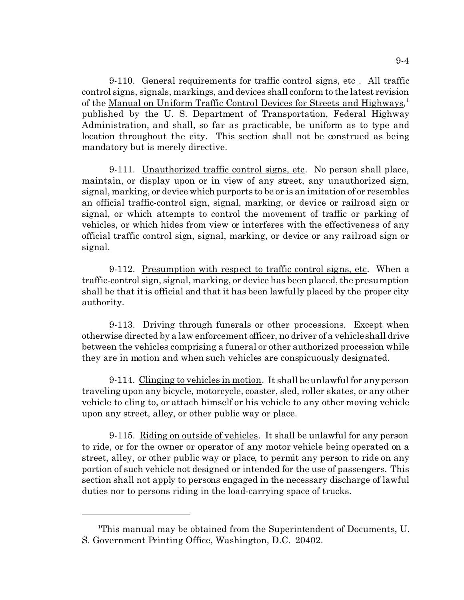9-110. General requirements for traffic control signs, etc . All traffic control signs, signals, markings, and devices shall conform to the latest revision of the <u>Manual on Uniform Traffic Control Devices for Streets and Highways</u>,<sup>1</sup> published by the U. S. Department of Transportation, Federal Highway Administration, and shall, so far as practicable, be uniform as to type and location throughout the city. This section shall not be construed as being mandatory but is merely directive.

9-111. Unauthorized traffic control signs, etc. No person shall place, maintain, or display upon or in view of any street, any unauthorized sign, signal, marking, or device which purports to be or is an imitation of or resembles an official traffic-control sign, signal, marking, or device or railroad sign or signal, or which attempts to control the movement of traffic or parking of vehicles, or which hides from view or interferes with the effectiveness of any official traffic control sign, signal, marking, or device or any railroad sign or signal.

9-112. Presumption with respect to traffic control signs, etc. When a traffic-control sign, signal, marking, or device has been placed, the presumption shall be that it is official and that it has been lawfully placed by the proper city authority.

9-113. Driving through funerals or other processions. Except when otherwise directed by a law enforcement officer, no driver of a vehicle shall drive between the vehicles comprising a funeral or other authorized procession while they are in motion and when such vehicles are conspicuously designated.

9-114. Clinging to vehicles in motion. It shall be unlawful for any person traveling upon any bicycle, motorcycle, coaster, sled, roller skates, or any other vehicle to cling to, or attach himself or his vehicle to any other moving vehicle upon any street, alley, or other public way or place.

9-115. Riding on outside of vehicles. It shall be unlawful for any person to ride, or for the owner or operator of any motor vehicle being operated on a street, alley, or other public way or place, to permit any person to ride on any portion of such vehicle not designed or intended for the use of passengers. This section shall not apply to persons engaged in the necessary discharge of lawful duties nor to persons riding in the load-carrying space of trucks.

<sup>1</sup>This manual may be obtained from the Superintendent of Documents, U. S. Government Printing Office, Washington, D.C. 20402.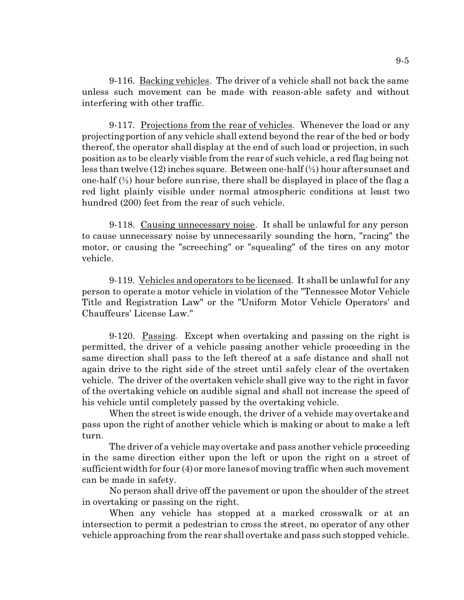9-116. Backing vehicles. The driver of a vehicle shall not back the same unless such movement can be made with reason-able safety and without interfering with other traffic.

9-117. Projections from the rear of vehicles. Whenever the load or any projecting portion of any vehicle shall extend beyond the rear of the bed or body thereof, the operator shall display at the end of such load or projection, in such position as to be clearly visible from the rear of such vehicle, a red flag being not less than twelve (12) inches square. Between one-half (½) hour after sunset and one-half  $(\frac{1}{2})$  hour before sunrise, there shall be displayed in place of the flag a red light plainly visible under normal atmospheric conditions at least two hundred (200) feet from the rear of such vehicle.

9-118. Causing unnecessary noise. It shall be unlawful for any person to cause unnecessary noise by unnecessarily sounding the horn, "racing" the motor, or causing the "screeching" or "squealing" of the tires on any motor vehicle.

9-119. Vehicles and operators to be licensed. It shall be unlawful for any person to operate a motor vehicle in violation of the "Tennessee Motor Vehicle Title and Registration Law" or the "Uniform Motor Vehicle Operators' and Chauffeurs' License Law."

9-120. Passing. Except when overtaking and passing on the right is permitted, the driver of a vehicle passing another vehicle proceeding in the same direction shall pass to the left thereof at a safe distance and shall not again drive to the right side of the street until safely clear of the overtaken vehicle. The driver of the overtaken vehicle shall give way to the right in favor of the overtaking vehicle on audible signal and shall not increase the speed of his vehicle until completely passed by the overtaking vehicle.

When the street is wide enough, the driver of a vehicle may overtake and pass upon the right of another vehicle which is making or about to make a left turn.

The driver of a vehicle may overtake and pass another vehicle proceeding in the same direction either upon the left or upon the right on a street of sufficient width for four (4) or more lanes of moving traffic when such movement can be made in safety.

No person shall drive off the pavement or upon the shoulder of the street in overtaking or passing on the right.

When any vehicle has stopped at a marked crosswalk or at an intersection to permit a pedestrian to cross the street, no operator of any other vehicle approaching from the rear shall overtake and pass such stopped vehicle.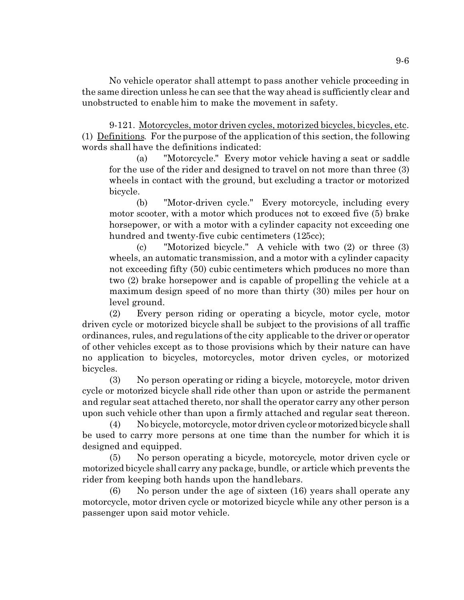No vehicle operator shall attempt to pass another vehicle proceeding in the same direction unless he can see that the way ahead is sufficiently clear and unobstructed to enable him to make the movement in safety.

9-121. Motorcycles, motor driven cycles, motorized bicycles, bicycles, etc. (1) Definitions. For the purpose of the application of this section, the following words shall have the definitions indicated:

(a) "Motorcycle." Every motor vehicle having a seat or saddle for the use of the rider and designed to travel on not more than three (3) wheels in contact with the ground, but excluding a tractor or motorized bicycle.

(b) "Motor-driven cycle." Every motorcycle, including every motor scooter, with a motor which produces not to exceed five (5) brake horsepower, or with a motor with a cylinder capacity not exceeding one hundred and twenty-five cubic centimeters  $(125cc)$ ;

(c) "Motorized bicycle." A vehicle with two (2) or three (3) wheels, an automatic transmission, and a motor with a cylinder capacity not exceeding fifty (50) cubic centimeters which produces no more than two (2) brake horsepower and is capable of propelling the vehicle at a maximum design speed of no more than thirty (30) miles per hour on level ground.

(2) Every person riding or operating a bicycle, motor cycle, motor driven cycle or motorized bicycle shall be subject to the provisions of all traffic ordinances, rules, and regulations of the city applicable to the driver or operator of other vehicles except as to those provisions which by their nature can have no application to bicycles, motorcycles, motor driven cycles, or motorized bicycles.

(3) No person operating or riding a bicycle, motorcycle, motor driven cycle or motorized bicycle shall ride other than upon or astride the permanent and regular seat attached thereto, nor shall the operator carry any other person upon such vehicle other than upon a firmly attached and regular seat thereon.

(4) No bicycle, motorcycle, motor driven cycle ormotorizedbicycle shall be used to carry more persons at one time than the number for which it is designed and equipped.

(5) No person operating a bicycle, motorcycle, motor driven cycle or motorized bicycle shall carry any package, bundle, or article which prevents the rider from keeping both hands upon the handlebars.

(6) No person under the age of sixteen (16) years shall operate any motorcycle, motor driven cycle or motorized bicycle while any other person is a passenger upon said motor vehicle.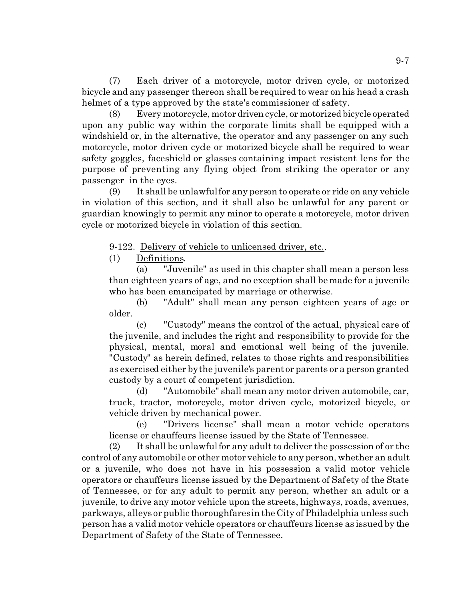(7) Each driver of a motorcycle, motor driven cycle, or motorized bicycle and any passenger thereon shall be required to wear on his head a crash helmet of a type approved by the state's commissioner of safety.

(8) Every motorcycle, motordriven cycle, or motorized bicycle operated upon any public way within the corporate limits shall be equipped with a windshield or, in the alternative, the operator and any passenger on any such motorcycle, motor driven cycle or motorized bicycle shall be required to wear safety goggles, faceshield or glasses containing impact resistent lens for the purpose of preventing any flying object from striking the operator or any passenger in the eyes.

(9) It shall be unlawful for any person to operate or ride on any vehicle in violation of this section, and it shall also be unlawful for any parent or guardian knowingly to permit any minor to operate a motorcycle, motor driven cycle or motorized bicycle in violation of this section.

9-122. Delivery of vehicle to unlicensed driver, etc..

(1) Definitions.

(a) "Juvenile" as used in this chapter shall mean a person less than eighteen years of age, and no exception shall be made for a juvenile who has been emancipated by marriage or otherwise.

(b) "Adult" shall mean any person eighteen years of age or older.

(c) "Custody" means the control of the actual, physical care of the juvenile, and includes the right and responsibility to provide for the physical, mental, moral and emotional well being of the juvenile. "Custody" as herein defined, relates to those rights and responsibilities as exercised either by the juvenile's parent or parents or a person granted custody by a court of competent jurisdiction.

(d) "Automobile" shall mean any motor driven automobile, car, truck, tractor, motorcycle, motor driven cycle, motorized bicycle, or vehicle driven by mechanical power.

(e) "Drivers license" shall mean a motor vehicle operators license or chauffeurs license issued by the State of Tennessee.

(2) It shall be unlawful for any adult to deliver the possession of or the control of any automobile or other motor vehicle to any person, whether an adult or a juvenile, who does not have in his possession a valid motor vehicle operators or chauffeurs license issued by the Department of Safety of the State of Tennessee, or for any adult to permit any person, whether an adult or a juvenile, to drive any motor vehicle upon the streets, highways, roads, avenues, parkways, alleys or public thoroughfares in the City of Philadelphia unless such person has a valid motor vehicle operators or chauffeurs license as issued by the Department of Safety of the State of Tennessee.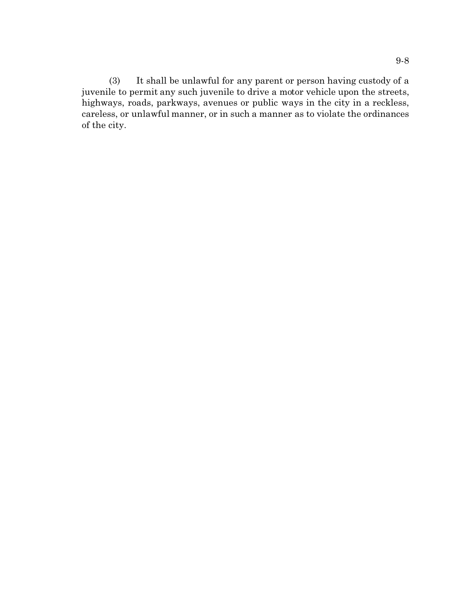(3) It shall be unlawful for any parent or person having custody of a juvenile to permit any such juvenile to drive a motor vehicle upon the streets, highways, roads, parkways, avenues or public ways in the city in a reckless, careless, or unlawful manner, or in such a manner as to violate the ordinances of the city.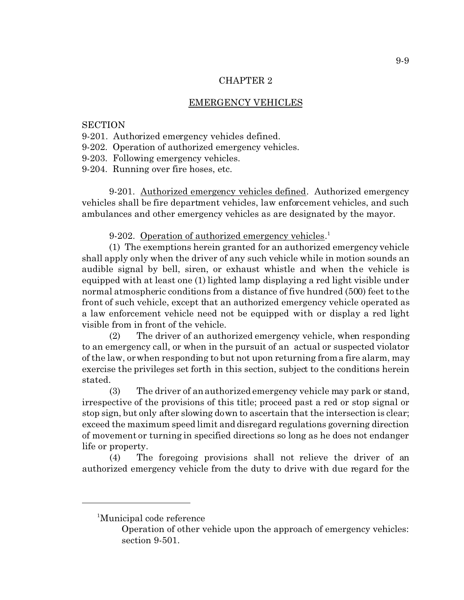### EMERGENCY VEHICLES

#### **SECTION**

- 9-201. Authorized emergency vehicles defined.
- 9-202. Operation of authorized emergency vehicles.
- 9-203. Following emergency vehicles.
- 9-204. Running over fire hoses, etc.

9-201. Authorized emergency vehicles defined. Authorized emergency vehicles shall be fire department vehicles, law enforcement vehicles, and such ambulances and other emergency vehicles as are designated by the mayor.

9-202. Operation of authorized emergency vehicles.<sup>1</sup>

(1) The exemptions herein granted for an authorized emergency vehicle shall apply only when the driver of any such vehicle while in motion sounds an audible signal by bell, siren, or exhaust whistle and when the vehicle is equipped with at least one (1) lighted lamp displaying a red light visible under normal atmospheric conditions from a distance of five hundred (500) feet to the front of such vehicle, except that an authorized emergency vehicle operated as a law enforcement vehicle need not be equipped with or display a red light visible from in front of the vehicle.

(2) The driver of an authorized emergency vehicle, when responding to an emergency call, or when in the pursuit of an actual or suspected violator of the law, or when responding to but not upon returning from a fire alarm, may exercise the privileges set forth in this section, subject to the conditions herein stated.

(3) The driver of an authorized emergency vehicle may park or stand, irrespective of the provisions of this title; proceed past a red or stop signal or stop sign, but only after slowing down to ascertain that the intersection is clear; exceed the maximum speed limit and disregard regulations governing direction of movement or turning in specified directions so long as he does not endanger life or property.

(4) The foregoing provisions shall not relieve the driver of an authorized emergency vehicle from the duty to drive with due regard for the

<sup>1</sup>Municipal code reference

Operation of other vehicle upon the approach of emergency vehicles: section 9-501.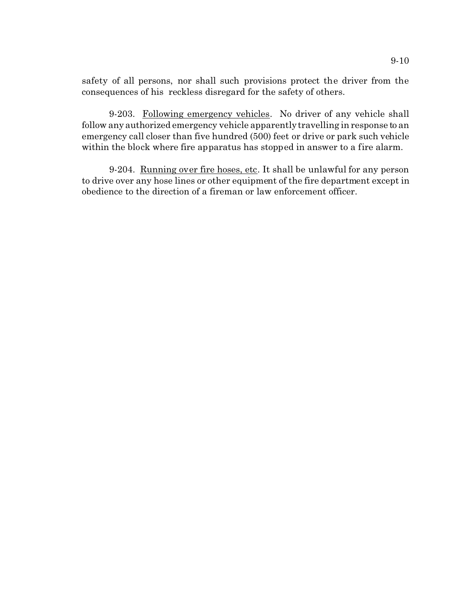safety of all persons, nor shall such provisions protect the driver from the consequences of his reckless disregard for the safety of others.

9-203. Following emergency vehicles. No driver of any vehicle shall follow any authorized emergency vehicle apparently travelling in response to an emergency call closer than five hundred (500) feet or drive or park such vehicle within the block where fire apparatus has stopped in answer to a fire alarm.

9-204. Running over fire hoses, etc. It shall be unlawful for any person to drive over any hose lines or other equipment of the fire department except in obedience to the direction of a fireman or law enforcement officer.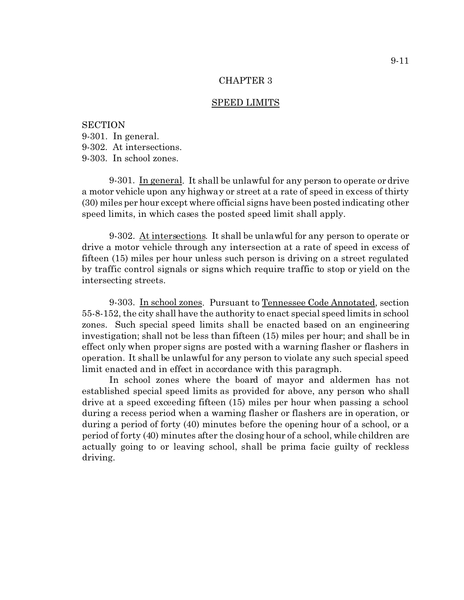#### SPEED LIMITS

**SECTION** 9-301. In general. 9-302. At intersections. 9-303. In school zones.

9-301. In general. It shall be unlawful for any person to operate or drive a motor vehicle upon any highway or street at a rate of speed in excess of thirty (30) miles per hour except where official signs have been posted indicating other speed limits, in which cases the posted speed limit shall apply.

9-302. At intersections. It shall be unlawful for any person to operate or drive a motor vehicle through any intersection at a rate of speed in excess of fifteen (15) miles per hour unless such person is driving on a street regulated by traffic control signals or signs which require traffic to stop or yield on the intersecting streets.

9-303. In school zones. Pursuant to Tennessee Code Annotated, section 55-8-152, the city shall have the authority to enact special speed limits in school zones. Such special speed limits shall be enacted based on an engineering investigation; shall not be less than fifteen (15) miles per hour; and shall be in effect only when proper signs are posted with a warning flasher or flashers in operation. It shall be unlawful for any person to violate any such special speed limit enacted and in effect in accordance with this paragraph.

In school zones where the board of mayor and aldermen has not established special speed limits as provided for above, any person who shall drive at a speed exceeding fifteen (15) miles per hour when passing a school during a recess period when a warning flasher or flashers are in operation, or during a period of forty (40) minutes before the opening hour of a school, or a period of forty (40) minutes after the closing hour of a school, while children are actually going to or leaving school, shall be prima facie guilty of reckless driving.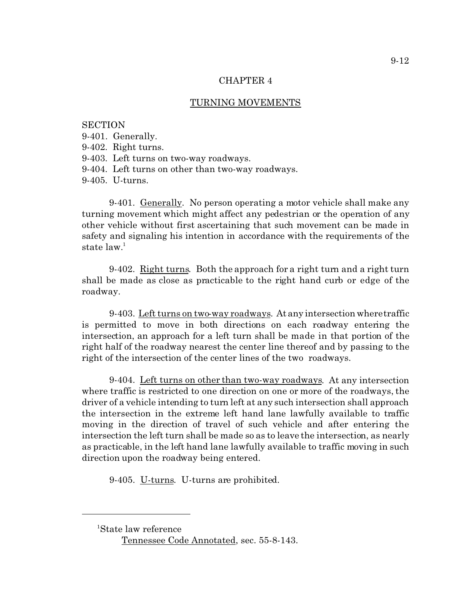#### TURNING MOVEMENTS

**SECTION** 9-401. Generally. 9-402. Right turns. 9-403. Left turns on two-way roadways. 9-404. Left turns on other than two-way roadways. 9-405. U-turns.

9-401. Generally. No person operating a motor vehicle shall make any turning movement which might affect any pedestrian or the operation of any other vehicle without first ascertaining that such movement can be made in safety and signaling his intention in accordance with the requirements of the state law.<sup>1</sup>

9-402. Right turns. Both the approach for a right turn and a right turn shall be made as close as practicable to the right hand curb or edge of the roadway.

9-403. Left turns on two-way roadways. At any intersection where traffic is permitted to move in both directions on each roadway entering the intersection, an approach for a left turn shall be made in that portion of the right half of the roadway nearest the center line thereof and by passing to the right of the intersection of the center lines of the two roadways.

9-404. Left turns on other than two-way roadways. At any intersection where traffic is restricted to one direction on one or more of the roadways, the driver of a vehicle intending to turn left at any such intersection shall approach the intersection in the extreme left hand lane lawfully available to traffic moving in the direction of travel of such vehicle and after entering the intersection the left turn shall be made so as to leave the intersection, as nearly as practicable, in the left hand lane lawfully available to traffic moving in such direction upon the roadway being entered.

9-405. U-turns. U-turns are prohibited.

<sup>1</sup>State law reference

Tennessee Code Annotated, sec. 55-8-143.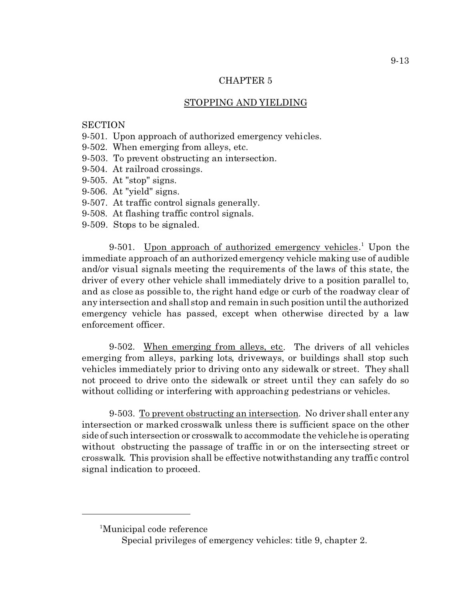# STOPPING AND YIELDING

# **SECTION**

- 9-501. Upon approach of authorized emergency vehicles.
- 9-502. When emerging from alleys, etc.
- 9-503. To prevent obstructing an intersection.
- 9-504. At railroad crossings.
- 9-505. At "stop" signs.
- 9-506. At "yield" signs.
- 9-507. At traffic control signals generally.
- 9-508. At flashing traffic control signals.
- 9-509. Stops to be signaled.

9-501. Upon approach of authorized emergency vehicles.<sup>1</sup> Upon the immediate approach of an authorized emergency vehicle making use of audible and/or visual signals meeting the requirements of the laws of this state, the driver of every other vehicle shall immediately drive to a position parallel to, and as close as possible to, the right hand edge or curb of the roadway clear of any intersection and shall stop and remain in such position until the authorized emergency vehicle has passed, except when otherwise directed by a law enforcement officer.

9-502. When emerging from alleys, etc. The drivers of all vehicles emerging from alleys, parking lots, driveways, or buildings shall stop such vehicles immediately prior to driving onto any sidewalk or street. They shall not proceed to drive onto the sidewalk or street until they can safely do so without colliding or interfering with approaching pedestrians or vehicles.

9-503. To prevent obstructing an intersection. No driver shall enter any intersection or marked crosswalk unless there is sufficient space on the other side of such intersection or crosswalk to accommodate the vehicle he is operating without obstructing the passage of traffic in or on the intersecting street or crosswalk. This provision shall be effective notwithstanding any traffic control signal indication to proceed.

<sup>1</sup>Municipal code reference

Special privileges of emergency vehicles: title 9, chapter 2.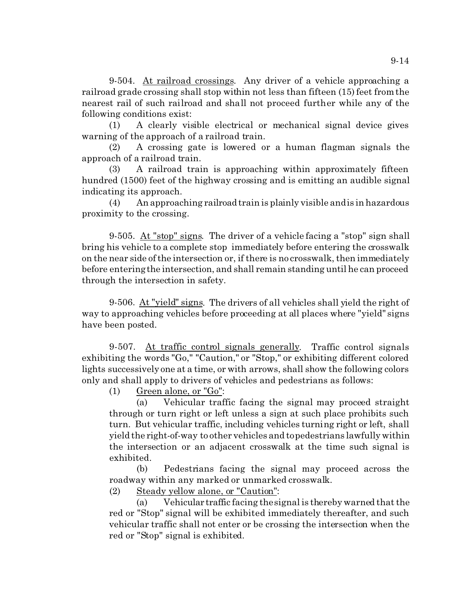9-504. At railroad crossings. Any driver of a vehicle approaching a railroad grade crossing shall stop within not less than fifteen (15) feet from the nearest rail of such railroad and shall not proceed further while any of the following conditions exist:

(1) A clearly visible electrical or mechanical signal device gives warning of the approach of a railroad train.

(2) A crossing gate is lowered or a human flagman signals the approach of a railroad train.

(3) A railroad train is approaching within approximately fifteen hundred (1500) feet of the highway crossing and is emitting an audible signal indicating its approach.

(4) An approaching railroad train is plainly visible and is in hazardous proximity to the crossing.

9-505. At "stop" signs. The driver of a vehicle facing a "stop" sign shall bring his vehicle to a complete stop immediately before entering the crosswalk on the near side of the intersection or, if there is no crosswalk, then immediately before entering the intersection, and shall remain standing until he can proceed through the intersection in safety.

9-506. At "yield" signs. The drivers of all vehicles shall yield the right of way to approaching vehicles before proceeding at all places where "yield" signs have been posted.

9-507. At traffic control signals generally. Traffic control signals exhibiting the words "Go," "Caution," or "Stop," or exhibiting different colored lights successively one at a time, or with arrows, shall show the following colors only and shall apply to drivers of vehicles and pedestrians as follows:

(1) Green alone, or " $Go$ ":

(a) Vehicular traffic facing the signal may proceed straight through or turn right or left unless a sign at such place prohibits such turn. But vehicular traffic, including vehicles turning right or left, shall yield the right-of-way to other vehicles and to pedestrians lawfully within the intersection or an adjacent crosswalk at the time such signal is exhibited.

(b) Pedestrians facing the signal may proceed across the roadway within any marked or unmarked crosswalk.

(2) Steady yellow alone, or "Caution":

(a) Vehicular traffic facing the signal is thereby warned that the red or "Stop" signal will be exhibited immediately thereafter, and such vehicular traffic shall not enter or be crossing the intersection when the red or "Stop" signal is exhibited.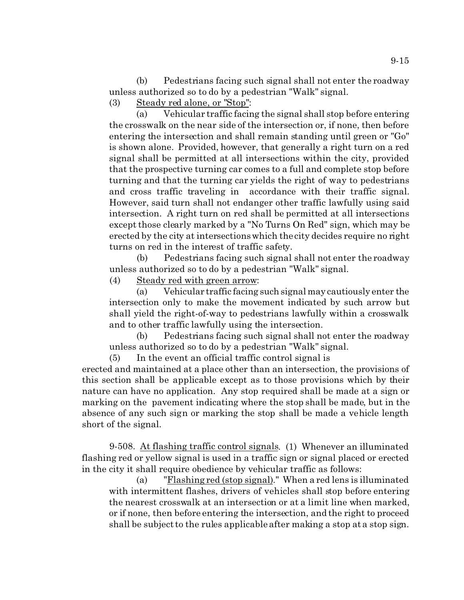(b) Pedestrians facing such signal shall not enter the roadway unless authorized so to do by a pedestrian "Walk" signal.

(3) Steady red alone, or "Stop":

(a) Vehicular traffic facing the signal shall stop before entering the crosswalk on the near side of the intersection or, if none, then before entering the intersection and shall remain standing until green or "Go" is shown alone. Provided, however, that generally a right turn on a red signal shall be permitted at all intersections within the city, provided that the prospective turning car comes to a full and complete stop before turning and that the turning car yields the right of way to pedestrians and cross traffic traveling in accordance with their traffic signal. However, said turn shall not endanger other traffic lawfully using said intersection. A right turn on red shall be permitted at all intersections except those clearly marked by a "No Turns On Red" sign, which may be erected by the city at intersections which the city decides require no right turns on red in the interest of traffic safety.

(b) Pedestrians facing such signal shall not enter the roadway unless authorized so to do by a pedestrian "Walk" signal.

(4) Steady red with green arrow:

(a) Vehicular traffic facing such signal may cautiously enter the intersection only to make the movement indicated by such arrow but shall yield the right-of-way to pedestrians lawfully within a crosswalk and to other traffic lawfully using the intersection.

(b) Pedestrians facing such signal shall not enter the roadway unless authorized so to do by a pedestrian "Walk" signal.

(5) In the event an official traffic control signal is

erected and maintained at a place other than an intersection, the provisions of this section shall be applicable except as to those provisions which by their nature can have no application. Any stop required shall be made at a sign or marking on the pavement indicating where the stop shall be made, but in the absence of any such sign or marking the stop shall be made a vehicle length short of the signal.

9-508. At flashing traffic control signals. (1) Whenever an illuminated flashing red or yellow signal is used in a traffic sign or signal placed or erected in the city it shall require obedience by vehicular traffic as follows:

(a) "Flashing red (stop signal)." When a red lens is illuminated with intermittent flashes, drivers of vehicles shall stop before entering the nearest crosswalk at an intersection or at a limit line when marked, or if none, then before entering the intersection, and the right to proceed shall be subject to the rules applicable after making a stop at a stop sign.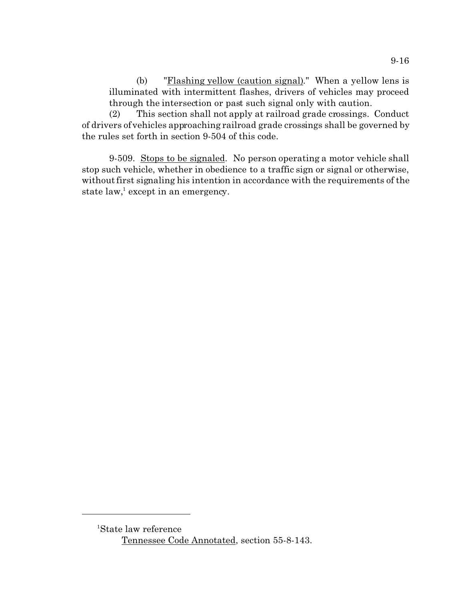(b) "Flashing yellow (caution signal)." When a yellow lens is illuminated with intermittent flashes, drivers of vehicles may proceed through the intersection or past such signal only with caution.

(2) This section shall not apply at railroad grade crossings. Conduct of drivers of vehicles approaching railroad grade crossings shall be governed by the rules set forth in section 9-504 of this code.

9-509. Stops to be signaled. No person operating a motor vehicle shall stop such vehicle, whether in obedience to a traffic sign or signal or otherwise, without first signaling his intention in accordance with the requirements of the state law,<sup>1</sup> except in an emergency.

<sup>1</sup>State law reference Tennessee Code Annotated, section 55-8-143.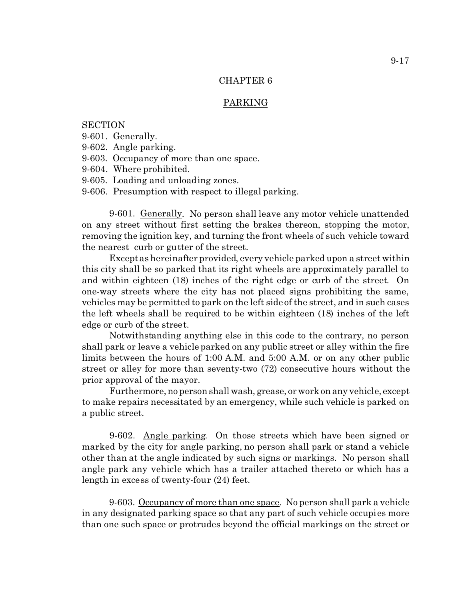### PARKING

**SECTION** 

- 9-601. Generally.
- 9-602. Angle parking.
- 9-603. Occupancy of more than one space.
- 9-604. Where prohibited.
- 9-605. Loading and unloading zones.
- 9-606. Presumption with respect to illegal parking.

9-601. Generally. No person shall leave any motor vehicle unattended on any street without first setting the brakes thereon, stopping the motor, removing the ignition key, and turning the front wheels of such vehicle toward the nearest curb or gutter of the street.

Except as hereinafter provided, every vehicle parked upon a street within this city shall be so parked that its right wheels are approximately parallel to and within eighteen (18) inches of the right edge or curb of the street. On one-way streets where the city has not placed signs prohibiting the same, vehicles may be permitted to park on the left side of the street, and in such cases the left wheels shall be required to be within eighteen (18) inches of the left edge or curb of the street.

Notwithstanding anything else in this code to the contrary, no person shall park or leave a vehicle parked on any public street or alley within the fire limits between the hours of 1:00 A.M. and 5:00 A.M. or on any other public street or alley for more than seventy-two (72) consecutive hours without the prior approval of the mayor.

Furthermore, no person shall wash, grease, or work on any vehicle, except to make repairs necessitated by an emergency, while such vehicle is parked on a public street.

9-602. Angle parking. On those streets which have been signed or marked by the city for angle parking, no person shall park or stand a vehicle other than at the angle indicated by such signs or markings. No person shall angle park any vehicle which has a trailer attached thereto or which has a length in excess of twenty-four (24) feet.

9-603. Occupancy of more than one space. No person shall park a vehicle in any designated parking space so that any part of such vehicle occupies more than one such space or protrudes beyond the official markings on the street or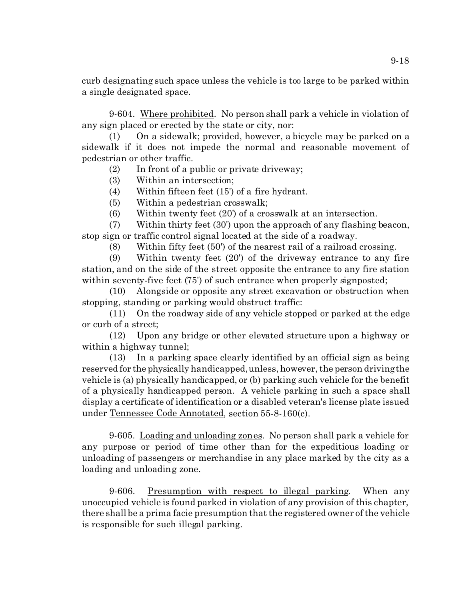curb designating such space unless the vehicle is too large to be parked within a single designated space.

9-604. Where prohibited. No person shall park a vehicle in violation of any sign placed or erected by the state or city, nor:

(1) On a sidewalk; provided, however, a bicycle may be parked on a sidewalk if it does not impede the normal and reasonable movement of pedestrian or other traffic.

(2) In front of a public or private driveway;

(3) Within an intersection;

(4) Within fifteen feet (15') of a fire hydrant.

(5) Within a pedestrian crosswalk;

(6) Within twenty feet (20') of a crosswalk at an intersection.

(7) Within thirty feet (30') upon the approach of any flashing beacon, stop sign or traffic control signal located at the side of a roadway.

(8) Within fifty feet (50') of the nearest rail of a railroad crossing.

(9) Within twenty feet (20') of the driveway entrance to any fire station, and on the side of the street opposite the entrance to any fire station within seventy-five feet (75') of such entrance when properly signposted;

(10) Alongside or opposite any street excavation or obstruction when stopping, standing or parking would obstruct traffic:

(11) On the roadway side of any vehicle stopped or parked at the edge or curb of a street;

(12) Upon any bridge or other elevated structure upon a highway or within a highway tunnel;

(13) In a parking space clearly identified by an official sign as being reserved for the physically handicapped, unless, however, the person driving the vehicle is (a) physically handicapped, or (b) parking such vehicle for the benefit of a physically handicapped person. A vehicle parking in such a space shall display a certificate of identification or a disabled veteran's license plate issued under Tennessee Code Annotated, section 55-8-160(c).

9-605. Loading and unloading zones. No person shall park a vehicle for any purpose or period of time other than for the expeditious loading or unloading of passengers or merchandise in any place marked by the city as a loading and unloading zone.

9-606. Presumption with respect to illegal parking. When any unoccupied vehicle is found parked in violation of any provision of this chapter, there shall be a prima facie presumption that the registered owner of the vehicle is responsible for such illegal parking.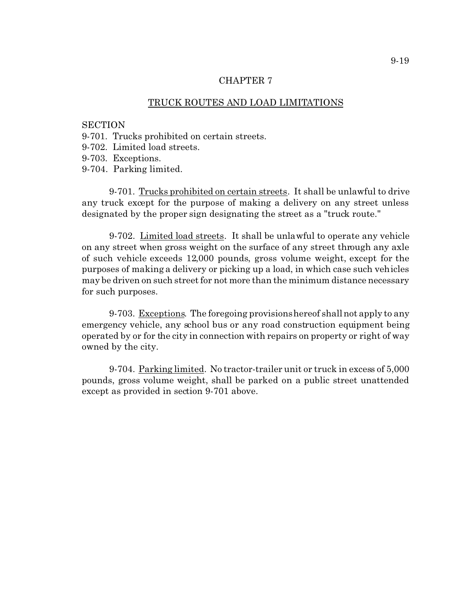### TRUCK ROUTES AND LOAD LIMITATIONS

# **SECTION**

- 9-701. Trucks prohibited on certain streets.
- 9-702. Limited load streets.
- 9-703. Exceptions.
- 9-704. Parking limited.

9-701. Trucks prohibited on certain streets. It shall be unlawful to drive any truck except for the purpose of making a delivery on any street unless designated by the proper sign designating the street as a "truck route."

9-702. Limited load streets. It shall be unlawful to operate any vehicle on any street when gross weight on the surface of any street through any axle of such vehicle exceeds 12,000 pounds, gross volume weight, except for the purposes of making a delivery or picking up a load, in which case such vehicles may be driven on such street for not more than the minimum distance necessary for such purposes.

9-703. Exceptions. The foregoing provisions hereof shall not apply to any emergency vehicle, any school bus or any road construction equipment being operated by or for the city in connection with repairs on property or right of way owned by the city.

9-704. Parking limited. No tractor-trailer unit or truck in excess of 5,000 pounds, gross volume weight, shall be parked on a public street unattended except as provided in section 9-701 above.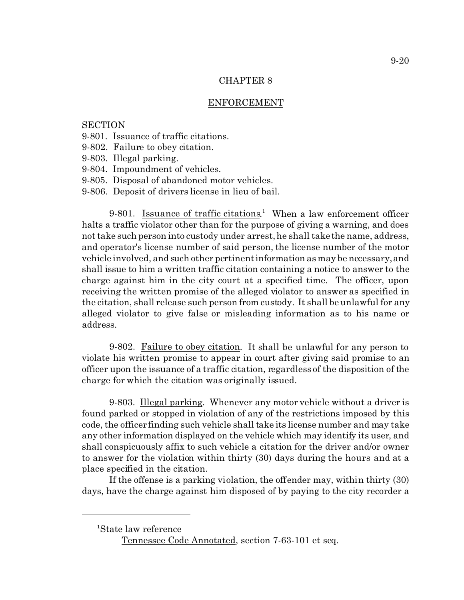#### ENFORCEMENT

### **SECTION**

- 9-801. Issuance of traffic citations.
- 9-802. Failure to obey citation.
- 9-803. Illegal parking.
- 9-804. Impoundment of vehicles.
- 9-805. Disposal of abandoned motor vehicles.
- 9-806. Deposit of drivers license in lieu of bail.

9-801. Issuance of traffic citations.<sup>1</sup> When a law enforcement officer halts a traffic violator other than for the purpose of giving a warning, and does not take such person into custody under arrest, he shall take the name, address, and operator's license number of said person, the license number of the motor vehicle involved, and such other pertinent information as may be necessary, and shall issue to him a written traffic citation containing a notice to answer to the charge against him in the city court at a specified time. The officer, upon receiving the written promise of the alleged violator to answer as specified in the citation, shall release such person from custody. It shall be unlawful for any alleged violator to give false or misleading information as to his name or address.

9-802. Failure to obey citation. It shall be unlawful for any person to violate his written promise to appear in court after giving said promise to an officer upon the issuance of a traffic citation, regardless of the disposition of the charge for which the citation was originally issued.

9-803. Illegal parking. Whenever any motor vehicle without a driver is found parked or stopped in violation of any of the restrictions imposed by this code, the officer finding such vehicle shall take its license number and may take any other information displayed on the vehicle which may identify its user, and shall conspicuously affix to such vehicle a citation for the driver and/or owner to answer for the violation within thirty (30) days during the hours and at a place specified in the citation.

If the offense is a parking violation, the offender may, within thirty (30) days, have the charge against him disposed of by paying to the city recorder a

<sup>1</sup>State law reference

Tennessee Code Annotated, section 7-63-101 et seq.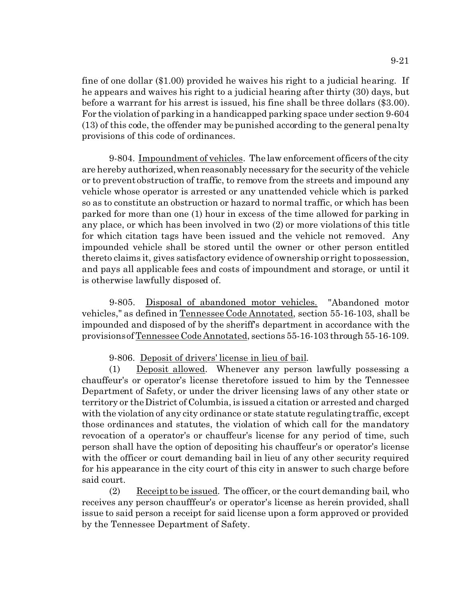fine of one dollar (\$1.00) provided he waives his right to a judicial hearing. If he appears and waives his right to a judicial hearing after thirty (30) days, but before a warrant for his arrest is issued, his fine shall be three dollars (\$3.00). For the violation of parking in a handicapped parking space under section 9-604 (13) of this code, the offender may be punished according to the general penalty provisions of this code of ordinances.

9-804. Impoundment of vehicles. The law enforcement officers of the city are hereby authorized, when reasonably necessary for the security of the vehicle or to prevent obstruction of traffic, to remove from the streets and impound any vehicle whose operator is arrested or any unattended vehicle which is parked so as to constitute an obstruction or hazard to normal traffic, or which has been parked for more than one (1) hour in excess of the time allowed for parking in any place, or which has been involved in two (2) or more violations of this title for which citation tags have been issued and the vehicle not removed. Any impounded vehicle shall be stored until the owner or other person entitled thereto claims it, gives satisfactory evidence of ownership or right to possession, and pays all applicable fees and costs of impoundment and storage, or until it is otherwise lawfully disposed of.

9-805. Disposal of abandoned motor vehicles. "Abandoned motor vehicles," as defined in Tennessee Code Annotated, section 55-16-103, shall be impounded and disposed of by the sheriff's department in accordance with the provisions of Tennessee Code Annotated, sections 55-16-103 through 55-16-109.

9-806. Deposit of drivers' license in lieu of bail.

(1) Deposit allowed. Whenever any person lawfully possessing a chauffeur's or operator's license theretofore issued to him by the Tennessee Department of Safety, or under the driver licensing laws of any other state or territory or the District of Columbia, is issued a citation or arrested and charged with the violation of any city ordinance or state statute regulating traffic, except those ordinances and statutes, the violation of which call for the mandatory revocation of a operator's or chauffeur's license for any period of time, such person shall have the option of depositing his chauffeur's or operator's license with the officer or court demanding bail in lieu of any other security required for his appearance in the city court of this city in answer to such charge before said court.

(2) Receipt to be issued. The officer, or the court demanding bail, who receives any person chaufffeur's or operator's license as herein provided, shall issue to said person a receipt for said license upon a form approved or provided by the Tennessee Department of Safety.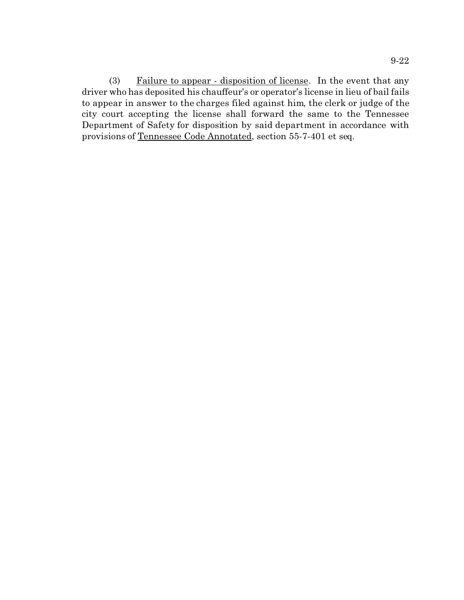(3) Failure to appear - disposition of license. In the event that any driver who has deposited his chauffeur's or operator's license in lieu of bail fails to appear in answer to the charges filed against him, the clerk or judge of the city court accepting the license shall forward the same to the Tennessee Department of Safety for disposition by said department in accordance with provisions of Tennessee Code Annotated, section 55-7-401 et seq.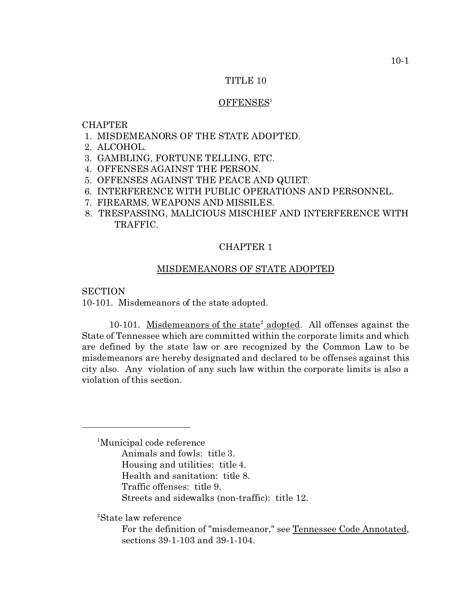### TITLE 10

#### OFFENSES<sup>1</sup>

### CHAPTER

- 1. MISDEMEANORS OF THE STATE ADOPTED.
- 2. ALCOHOL.
- 3. GAMBLING, FORTUNE TELLING, ETC.
- 4. OFFENSES AGAINST THE PERSON.
- 5. OFFENSES AGAINST THE PEACE AND QUIET.
- 6. INTERFERENCE WITH PUBLIC OPERATIONS AND PERSONNEL.
- 7. FIREARMS, WEAPONS AND MISSILES.
- 8. TRESPASSING, MALICIOUS MISCHIEF AND INTERFERENCE WITH TRAFFIC.

# CHAPTER 1

#### MISDEMEANORS OF STATE ADOPTED

**SECTION** 

10-101. Misdemeanors of the state adopted.

10-101. Misdemeanors of the state<sup>2</sup> adopted. All offenses against the State of Tennessee which are committed within the corporate limits and which are defined by the state law or are recognized by the Common Law to be misdemeanors are hereby designated and declared to be offenses against this city also. Any violation of any such law within the corporate limits is also a violation of this section.

<sup>1</sup>Municipal code reference Animals and fowls: title 3. Housing and utilities: title 4. Health and sanitation: title 8. Traffic offenses: title 9. Streets and sidewalks (non-traffic): title 12.

<sup>2</sup>State law reference

For the definition of "misdemeanor," see Tennessee Code Annotated, sections 39-1-103 and 39-1-104.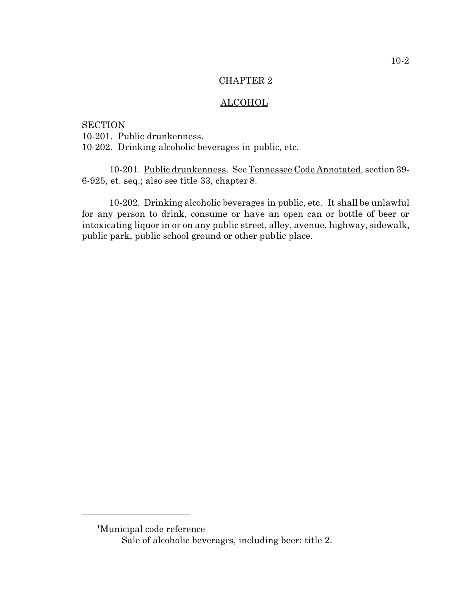# ALCOHOL<sup>1</sup>

**SECTION** 10-201. Public drunkenness. 10-202. Drinking alcoholic beverages in public, etc.

10-201. Public drunkenness. See Tennessee Code Annotated, section 39- 6-925, et. seq.; also see title 33, chapter 8.

10-202. Drinking alcoholic beverages in public, etc. It shall be unlawful for any person to drink, consume or have an open can or bottle of beer or intoxicating liquor in or on any public street, alley, avenue, highway, sidewalk, public park, public school ground or other public place.

<sup>1</sup>Municipal code reference Sale of alcoholic beverages, including beer: title 2.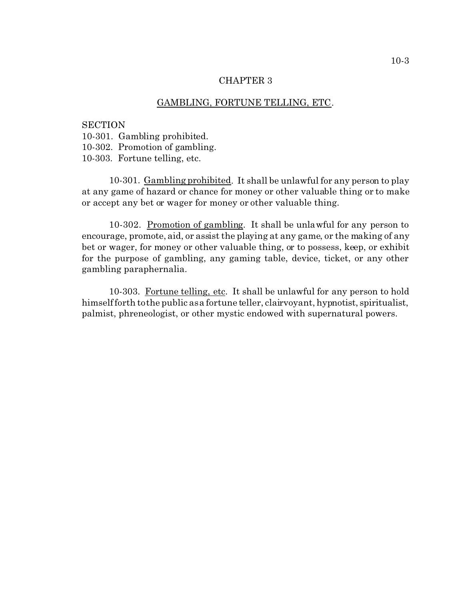### GAMBLING, FORTUNE TELLING, ETC.

**SECTION** 10-301. Gambling prohibited. 10-302. Promotion of gambling. 10-303. Fortune telling, etc.

10-301. Gambling prohibited. It shall be unlawful for any person to play at any game of hazard or chance for money or other valuable thing or to make or accept any bet or wager for money or other valuable thing.

10-302. Promotion of gambling. It shall be unlawful for any person to encourage, promote, aid, or assist the playing at any game, or the making of any bet or wager, for money or other valuable thing, or to possess, keep, or exhibit for the purpose of gambling, any gaming table, device, ticket, or any other gambling paraphernalia.

10-303. Fortune telling, etc. It shall be unlawful for any person to hold himself forth to the public as a fortune teller, clairvoyant, hypnotist, spiritualist, palmist, phreneologist, or other mystic endowed with supernatural powers.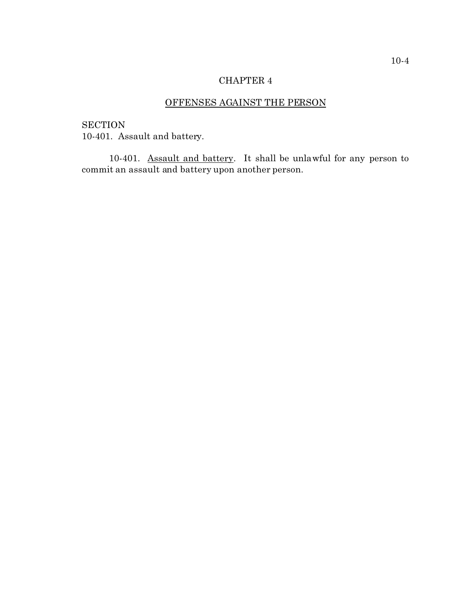# OFFENSES AGAINST THE PERSON

**SECTION** 10-401. Assault and battery.

10-401. Assault and battery. It shall be unlawful for any person to commit an assault and battery upon another person.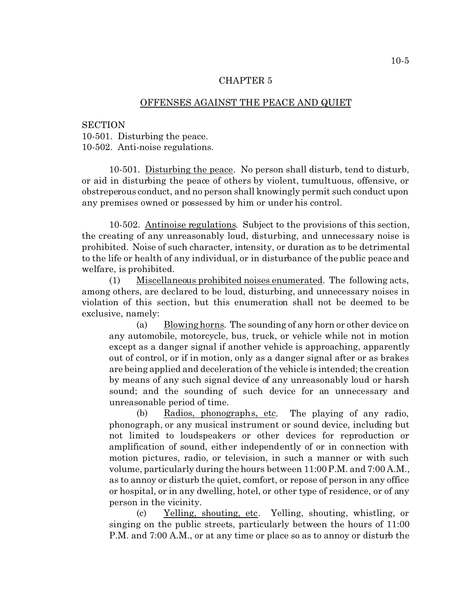#### OFFENSES AGAINST THE PEACE AND QUIET

**SECTION** 10-501. Disturbing the peace. 10-502. Anti-noise regulations.

10-501. Disturbing the peace. No person shall disturb, tend to disturb, or aid in disturbing the peace of others by violent, tumultuous, offensive, or obstreperous conduct, and no person shall knowingly permit such conduct upon any premises owned or possessed by him or under his control.

10-502. Antinoise regulations. Subject to the provisions of this section, the creating of any unreasonably loud, disturbing, and unnecessary noise is prohibited. Noise of such character, intensity, or duration as to be detrimental to the life or health of any individual, or in disturbance of the public peace and welfare, is prohibited.

(1) Miscellaneous prohibited noises enumerated. The following acts, among others, are declared to be loud, disturbing, and unnecessary noises in violation of this section, but this enumeration shall not be deemed to be exclusive, namely:

(a) Blowing horns. The sounding of any horn or other device on any automobile, motorcycle, bus, truck, or vehicle while not in motion except as a danger signal if another vehicle is approaching, apparently out of control, or if in motion, only as a danger signal after or as brakes are being applied and deceleration of the vehicle is intended; the creation by means of any such signal device of any unreasonably loud or harsh sound; and the sounding of such device for an unnecessary and unreasonable period of time.

(b) Radios, phonographs, etc. The playing of any radio, phonograph, or any musical instrument or sound device, including but not limited to loudspeakers or other devices for reproduction or amplification of sound, either independently of or in connection with motion pictures, radio, or television, in such a manner or with such volume, particularly during the hours between 11:00 P.M. and 7:00 A.M., as to annoy or disturb the quiet, comfort, or repose of person in any office or hospital, or in any dwelling, hotel, or other type of residence, or of any person in the vicinity.

(c) Yelling, shouting, etc. Yelling, shouting, whistling, or singing on the public streets, particularly between the hours of 11:00 P.M. and 7:00 A.M., or at any time or place so as to annoy or disturb the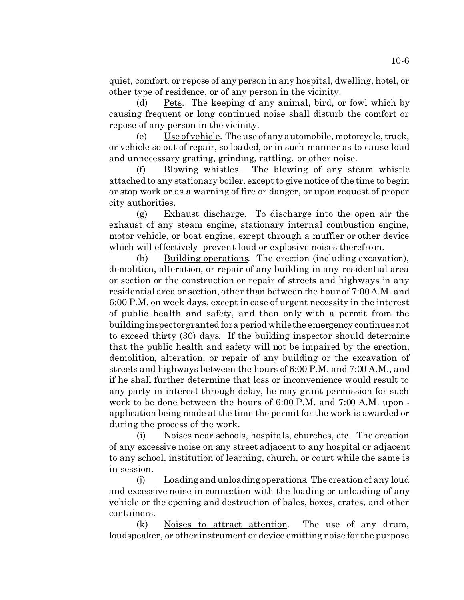quiet, comfort, or repose of any person in any hospital, dwelling, hotel, or other type of residence, or of any person in the vicinity.

(d) Pets. The keeping of any animal, bird, or fowl which by causing frequent or long continued noise shall disturb the comfort or repose of any person in the vicinity.

(e) Use of vehicle. The use of any automobile, motorcycle, truck, or vehicle so out of repair, so loaded, or in such manner as to cause loud and unnecessary grating, grinding, rattling, or other noise.

(f) Blowing whistles. The blowing of any steam whistle attached to any stationary boiler, except to give notice of the time to begin or stop work or as a warning of fire or danger, or upon request of proper city authorities.

(g) Exhaust discharge. To discharge into the open air the exhaust of any steam engine, stationary internal combustion engine, motor vehicle, or boat engine, except through a muffler or other device which will effectively prevent loud or explosive noises therefrom.

(h) Building operations. The erection (including excavation), demolition, alteration, or repair of any building in any residential area or section or the construction or repair of streets and highways in any residential area or section, other than between the hour of 7:00 A.M. and 6:00 P.M. on week days, except in case of urgent necessity in the interest of public health and safety, and then only with a permit from the building inspector granted for a period while the emergency continuesnot to exceed thirty (30) days. If the building inspector should determine that the public health and safety will not be impaired by the erection, demolition, alteration, or repair of any building or the excavation of streets and highways between the hours of 6:00 P.M. and 7:00 A.M., and if he shall further determine that loss or inconvenience would result to any party in interest through delay, he may grant permission for such work to be done between the hours of 6:00 P.M. and 7:00 A.M. upon application being made at the time the permit for the work is awarded or during the process of the work.

(i) Noises near schools, hospitals, churches, etc. The creation of any excessive noise on any street adjacent to any hospital or adjacent to any school, institution of learning, church, or court while the same is in session.

(j) Loading and unloading operations. The creation of any loud and excessive noise in connection with the loading or unloading of any vehicle or the opening and destruction of bales, boxes, crates, and other containers.

(k) Noises to attract attention. The use of any drum, loudspeaker, or other instrument or device emitting noise for the purpose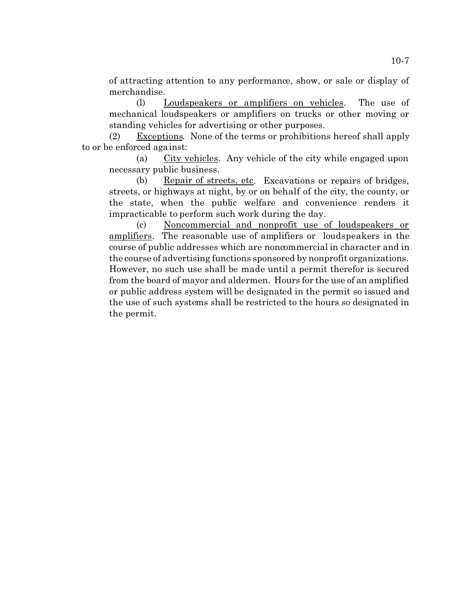of attracting attention to any performance, show, or sale or display of merchandise.

(l) Loudspeakers or amplifiers on vehicles. The use of mechanical loudspeakers or amplifiers on trucks or other moving or standing vehicles for advertising or other purposes.

(2) Exceptions. None of the terms or prohibitions hereof shall apply to or be enforced against:

(a) City vehicles. Any vehicle of the city while engaged upon necessary public business.

(b) Repair of streets, etc. Excavations or repairs of bridges, streets, or highways at night, by or on behalf of the city, the county, or the state, when the public welfare and convenience renders it impracticable to perform such work during the day.

(c) Noncommercial and nonprofit use of loudspeakers or amplifiers. The reasonable use of amplifiers or loudspeakers in the course of public addresses which are noncommercial in character and in the course of advertising functions sponsored by nonprofit organizations. However, no such use shall be made until a permit therefor is secured from the board of mayor and aldermen. Hours for the use of an amplified or public address system will be designated in the permit so issued and the use of such systems shall be restricted to the hours so designated in the permit.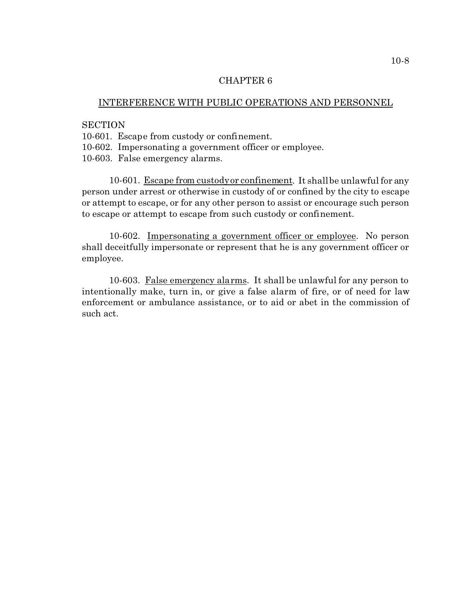### INTERFERENCE WITH PUBLIC OPERATIONS AND PERSONNEL

# **SECTION**

10-601. Escape from custody or confinement.

10-602. Impersonating a government officer or employee.

10-603. False emergency alarms.

10-601. Escape from custody or confinement. It shall be unlawful for any person under arrest or otherwise in custody of or confined by the city to escape or attempt to escape, or for any other person to assist or encourage such person to escape or attempt to escape from such custody or confinement.

10-602. Impersonating a government officer or employee. No person shall deceitfully impersonate or represent that he is any government officer or employee.

10-603. False emergency alarms. It shall be unlawful for any person to intentionally make, turn in, or give a false alarm of fire, or of need for law enforcement or ambulance assistance, or to aid or abet in the commission of such act.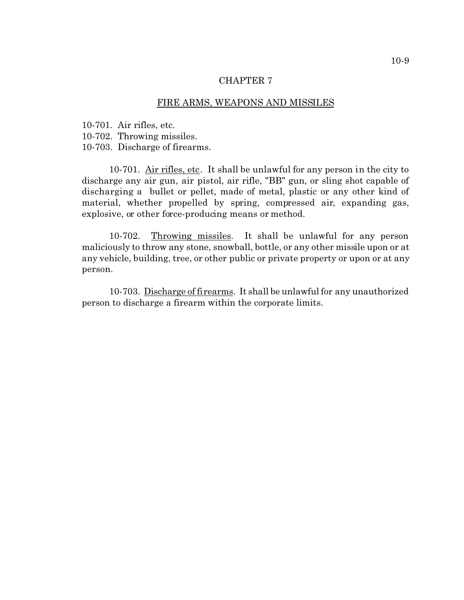## FIRE ARMS, WEAPONS AND MISSILES

10-701. Air rifles, etc.

10-702. Throwing missiles.

10-703. Discharge of firearms.

10-701. Air rifles, etc. It shall be unlawful for any person in the city to discharge any air gun, air pistol, air rifle, "BB" gun, or sling shot capable of discharging a bullet or pellet, made of metal, plastic or any other kind of material, whether propelled by spring, compressed air, expanding gas, explosive, or other force-producing means or method.

10-702. Throwing missiles. It shall be unlawful for any person maliciously to throw any stone, snowball, bottle, or any other missile upon or at any vehicle, building, tree, or other public or private property or upon or at any person.

10-703. Discharge of firearms. It shall be unlawful for any unauthorized person to discharge a firearm within the corporate limits.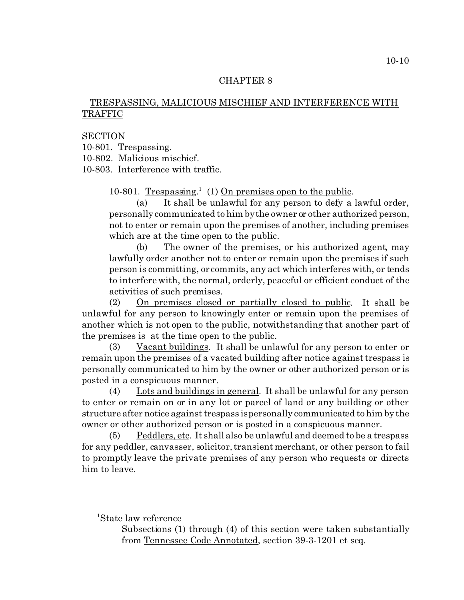## TRESPASSING, MALICIOUS MISCHIEF AND INTERFERENCE WITH TRAFFIC

## **SECTION**

10-801. Trespassing.

10-802. Malicious mischief.

10-803. Interference with traffic.

10-801. Trespassing.<sup>1</sup> (1) On premises open to the public.

(a) It shall be unlawful for any person to defy a lawful order, personally communicated to him by the owner or other authorized person, not to enter or remain upon the premises of another, including premises which are at the time open to the public.

(b) The owner of the premises, or his authorized agent, may lawfully order another not to enter or remain upon the premises if such person is committing, or commits, any act which interferes with, or tends to interfere with, the normal, orderly, peaceful or efficient conduct of the activities of such premises.

(2) On premises closed or partially closed to public. It shall be unlawful for any person to knowingly enter or remain upon the premises of another which is not open to the public, notwithstanding that another part of the premises is at the time open to the public.

(3) Vacant buildings. It shall be unlawful for any person to enter or remain upon the premises of a vacated building after notice against trespass is personally communicated to him by the owner or other authorized person or is posted in a conspicuous manner.

(4) Lots and buildings in general. It shall be unlawful for any person to enter or remain on or in any lot or parcel of land or any building or other structure after notice against trespass is personally communicated to him by the owner or other authorized person or is posted in a conspicuous manner.

(5) Peddlers, etc. It shall also be unlawful and deemed to be a trespass for any peddler, canvasser, solicitor, transient merchant, or other person to fail to promptly leave the private premises of any person who requests or directs him to leave.

<sup>1</sup>State law reference

Subsections (1) through (4) of this section were taken substantially from Tennessee Code Annotated, section 39-3-1201 et seq.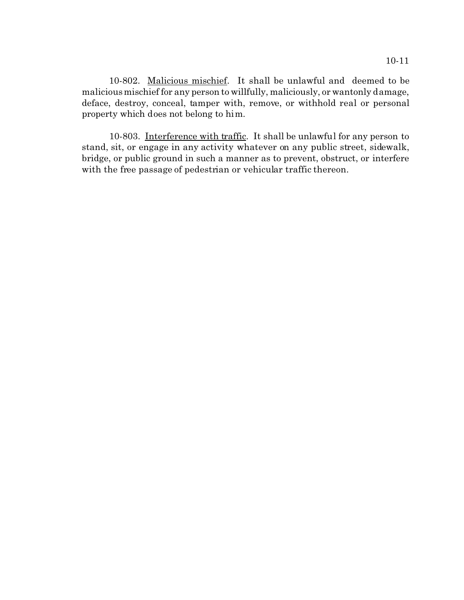10-802. Malicious mischief. It shall be unlawful and deemed to be malicious mischief for any person to willfully, maliciously, or wantonly damage, deface, destroy, conceal, tamper with, remove, or withhold real or personal property which does not belong to him.

10-803. Interference with traffic. It shall be unlawful for any person to stand, sit, or engage in any activity whatever on any public street, sidewalk, bridge, or public ground in such a manner as to prevent, obstruct, or interfere with the free passage of pedestrian or vehicular traffic thereon.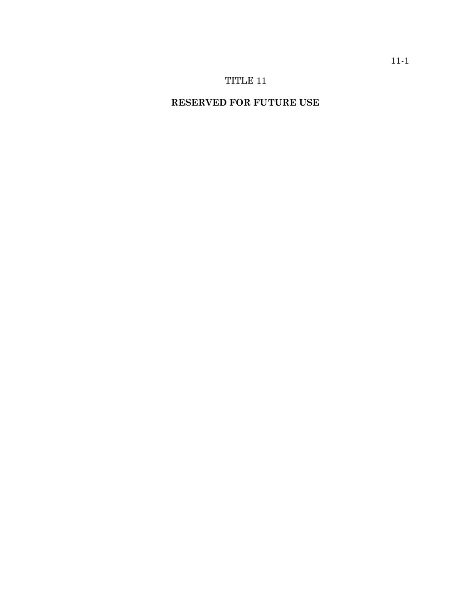# TITLE 11

# **RESERVED FOR FUTURE USE**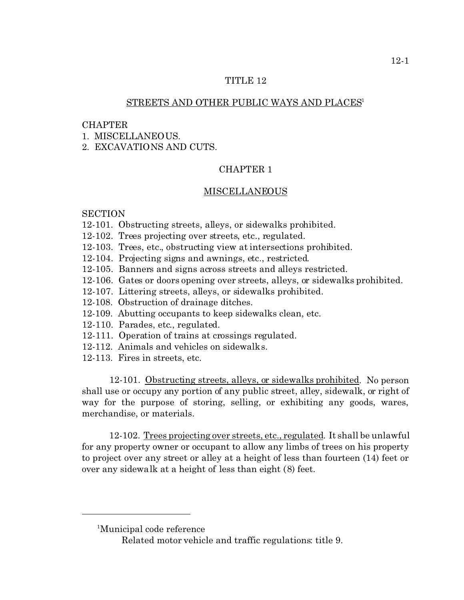## TITLE 12

#### STREETS AND OTHER PUBLIC WAYS AND PLACES<sup>1</sup>

#### CHAPTER

1. MISCELLANEOUS.

2. EXCAVATIONS AND CUTS.

## CHAPTER 1

#### MISCELLANEOUS

#### **SECTION**

- 12-101. Obstructing streets, alleys, or sidewalks prohibited.
- 12-102. Trees projecting over streets, etc., regulated.
- 12-103. Trees, etc., obstructing view at intersections prohibited.
- 12-104. Projecting signs and awnings, etc., restricted.
- 12-105. Banners and signs across streets and alleys restricted.
- 12-106. Gates or doors opening over streets, alleys, or sidewalks prohibited.
- 12-107. Littering streets, alleys, or sidewalks prohibited.
- 12-108. Obstruction of drainage ditches.
- 12-109. Abutting occupants to keep sidewalks clean, etc.
- 12-110. Parades, etc., regulated.
- 12-111. Operation of trains at crossings regulated.
- 12-112. Animals and vehicles on sidewalks.
- 12-113. Fires in streets, etc.

12-101. Obstructing streets, alleys, or sidewalks prohibited. No person shall use or occupy any portion of any public street, alley, sidewalk, or right of way for the purpose of storing, selling, or exhibiting any goods, wares, merchandise, or materials.

12-102. Trees projecting over streets, etc., regulated. It shall be unlawful for any property owner or occupant to allow any limbs of trees on his property to project over any street or alley at a height of less than fourteen (14) feet or over any sidewalk at a height of less than eight (8) feet.

<sup>1</sup>Municipal code reference

Related motor vehicle and traffic regulations: title 9.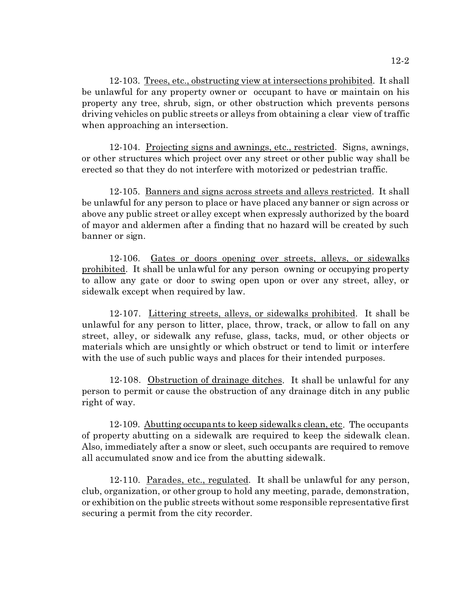12-103. Trees, etc., obstructing view at intersections prohibited. It shall be unlawful for any property owner or occupant to have or maintain on his property any tree, shrub, sign, or other obstruction which prevents persons driving vehicles on public streets or alleys from obtaining a clear view of traffic when approaching an intersection.

12-104. Projecting signs and awnings, etc., restricted. Signs, awnings, or other structures which project over any street or other public way shall be erected so that they do not interfere with motorized or pedestrian traffic.

12-105. Banners and signs across streets and alleys restricted. It shall be unlawful for any person to place or have placed any banner or sign across or above any public street or alley except when expressly authorized by the board of mayor and aldermen after a finding that no hazard will be created by such banner or sign.

12-106. Gates or doors opening over streets, alleys, or sidewalks prohibited. It shall be unlawful for any person owning or occupying property to allow any gate or door to swing open upon or over any street, alley, or sidewalk except when required by law.

12-107. Littering streets, alleys, or sidewalks prohibited. It shall be unlawful for any person to litter, place, throw, track, or allow to fall on any street, alley, or sidewalk any refuse, glass, tacks, mud, or other objects or materials which are unsightly or which obstruct or tend to limit or interfere with the use of such public ways and places for their intended purposes.

12-108. Obstruction of drainage ditches. It shall be unlawful for any person to permit or cause the obstruction of any drainage ditch in any public right of way.

12-109. Abutting occupants to keep sidewalks clean, etc. The occupants of property abutting on a sidewalk are required to keep the sidewalk clean. Also, immediately after a snow or sleet, such occupants are required to remove all accumulated snow and ice from the abutting sidewalk.

12-110. Parades, etc., regulated. It shall be unlawful for any person, club, organization, or other group to hold any meeting, parade, demonstration, or exhibition on the public streets without some responsible representative first securing a permit from the city recorder.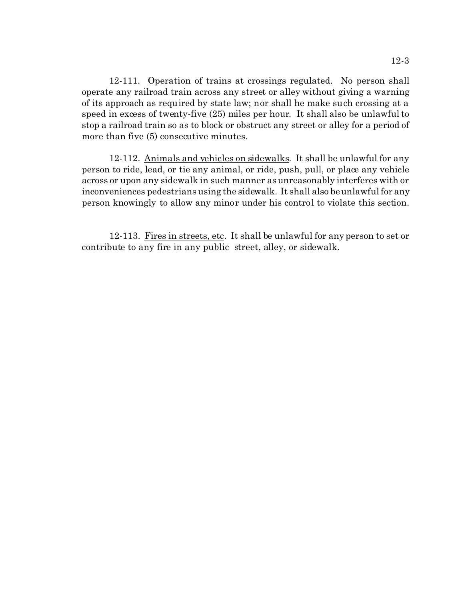12-111. Operation of trains at crossings regulated. No person shall operate any railroad train across any street or alley without giving a warning of its approach as required by state law; nor shall he make such crossing at a speed in excess of twenty-five (25) miles per hour. It shall also be unlawful to stop a railroad train so as to block or obstruct any street or alley for a period of more than five (5) consecutive minutes.

12-112. Animals and vehicles on sidewalks. It shall be unlawful for any person to ride, lead, or tie any animal, or ride, push, pull, or place any vehicle across or upon any sidewalk in such manner as unreasonably interferes with or inconveniences pedestrians using the sidewalk. It shall also be unlawful for any person knowingly to allow any minor under his control to violate this section.

12-113. Fires in streets, etc. It shall be unlawful for any person to set or contribute to any fire in any public street, alley, or sidewalk.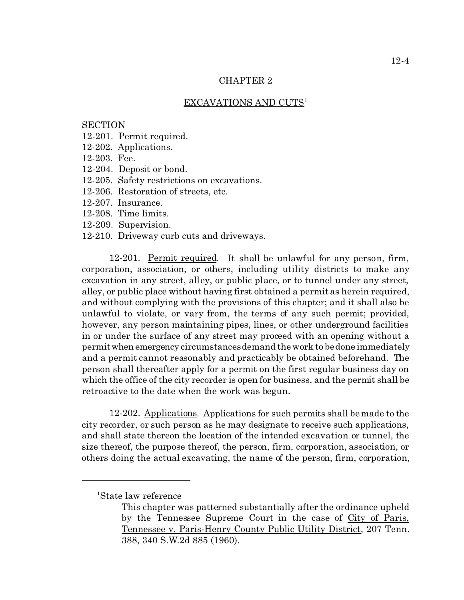#### EXCAVATIONS AND CUTS<sup>1</sup>

## **SECTION**

- 12-201. Permit required.
- 12-202. Applications.
- 12-203. Fee.
- 12-204. Deposit or bond.
- 12-205. Safety restrictions on excavations.
- 12-206. Restoration of streets, etc.
- 12-207. Insurance.
- 12-208. Time limits.
- 12-209. Supervision.
- 12-210. Driveway curb cuts and driveways.

12-201. Permit required. It shall be unlawful for any person, firm, corporation, association, or others, including utility districts to make any excavation in any street, alley, or public place, or to tunnel under any street, alley, or public place without having first obtained a permit as herein required, and without complying with the provisions of this chapter; and it shall also be unlawful to violate, or vary from, the terms of any such permit; provided, however, any person maintaining pipes, lines, or other underground facilities in or under the surface of any street may proceed with an opening without a permitwhen emergency circumstances demand the work to be done immediately and a permit cannot reasonably and practicably be obtained beforehand. The person shall thereafter apply for a permit on the first regular business day on which the office of the city recorder is open for business, and the permit shall be retroactive to the date when the work was begun.

12-202. Applications. Applications for such permits shall be made to the city recorder, or such person as he may designate to receive such applications, and shall state thereon the location of the intended excavation or tunnel, the size thereof, the purpose thereof, the person, firm, corporation, association, or others doing the actual excavating, the name of the person, firm, corporation,

<sup>1</sup>State law reference

This chapter was patterned substantially after the ordinance upheld by the Tennessee Supreme Court in the case of City of Paris, Tennessee v. Paris-Henry County Public Utility District, 207 Tenn. 388, 340 S.W.2d 885 (1960).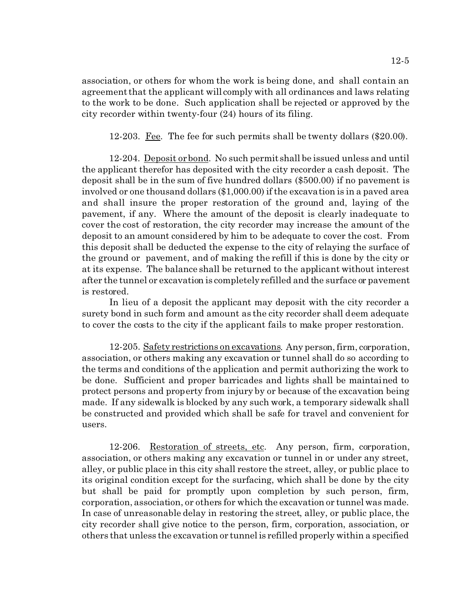association, or others for whom the work is being done, and shall contain an agreement that the applicant will comply with all ordinances and laws relating to the work to be done. Such application shall be rejected or approved by the city recorder within twenty-four (24) hours of its filing.

12-203. Fee. The fee for such permits shall be twenty dollars  $(\$20.00)$ .

12-204. Deposit or bond. No such permit shall be issued unless and until the applicant therefor has deposited with the city recorder a cash deposit. The deposit shall be in the sum of five hundred dollars (\$500.00) if no pavement is involved or one thousand dollars (\$1,000.00) if the excavation is in a paved area and shall insure the proper restoration of the ground and, laying of the pavement, if any. Where the amount of the deposit is clearly inadequate to cover the cost of restoration, the city recorder may increase the amount of the deposit to an amount considered by him to be adequate to cover the cost. From this deposit shall be deducted the expense to the city of relaying the surface of the ground or pavement, and of making the refill if this is done by the city or at its expense. The balance shall be returned to the applicant without interest after the tunnel or excavation is completely refilled and the surface or pavement is restored.

In lieu of a deposit the applicant may deposit with the city recorder a surety bond in such form and amount as the city recorder shall deem adequate to cover the costs to the city if the applicant fails to make proper restoration.

12-205. Safety restrictions on excavations. Any person, firm, corporation, association, or others making any excavation or tunnel shall do so according to the terms and conditions of the application and permit authorizing the work to be done. Sufficient and proper barricades and lights shall be maintained to protect persons and property from injury by or because of the excavation being made. If any sidewalk is blocked by any such work, a temporary sidewalk shall be constructed and provided which shall be safe for travel and convenient for users.

12-206. Restoration of streets, etc. Any person, firm, corporation, association, or others making any excavation or tunnel in or under any street, alley, or public place in this city shall restore the street, alley, or public place to its original condition except for the surfacing, which shall be done by the city but shall be paid for promptly upon completion by such person, firm, corporation, association, or others for which the excavation or tunnel was made. In case of unreasonable delay in restoring the street, alley, or public place, the city recorder shall give notice to the person, firm, corporation, association, or others that unless the excavation or tunnel is refilled properly within a specified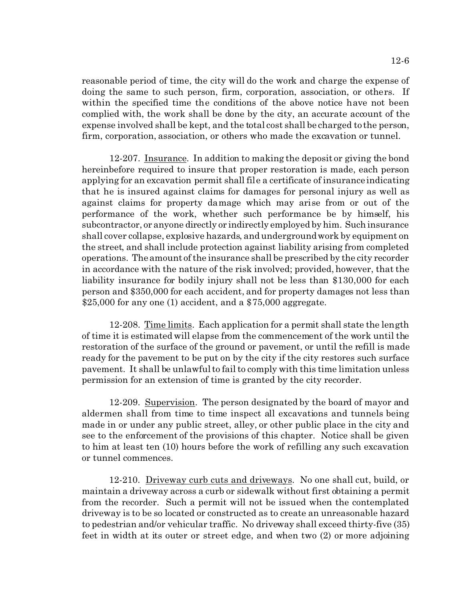reasonable period of time, the city will do the work and charge the expense of doing the same to such person, firm, corporation, association, or others. If within the specified time the conditions of the above notice have not been complied with, the work shall be done by the city, an accurate account of the expense involved shall be kept, and the total cost shall be charged to the person, firm, corporation, association, or others who made the excavation or tunnel.

12-207. Insurance. In addition to making the deposit or giving the bond hereinbefore required to insure that proper restoration is made, each person applying for an excavation permit shall file a certificate of insurance indicating that he is insured against claims for damages for personal injury as well as against claims for property damage which may arise from or out of the performance of the work, whether such performance be by himself, his subcontractor, or anyone directly or indirectly employed by him. Such insurance shall cover collapse, explosive hazards, and underground work by equipment on the street, and shall include protection against liability arising from completed operations. The amount of the insurance shall be prescribed by the city recorder in accordance with the nature of the risk involved; provided, however, that the liability insurance for bodily injury shall not be less than \$130,000 for each person and \$350,000 for each accident, and for property damages not less than \$25,000 for any one (1) accident, and a \$75,000 aggregate.

12-208. Time limits. Each application for a permit shall state the length of time it is estimated will elapse from the commencement of the work until the restoration of the surface of the ground or pavement, or until the refill is made ready for the pavement to be put on by the city if the city restores such surface pavement. It shall be unlawful to fail to comply with this time limitation unless permission for an extension of time is granted by the city recorder.

12-209. Supervision. The person designated by the board of mayor and aldermen shall from time to time inspect all excavations and tunnels being made in or under any public street, alley, or other public place in the city and see to the enforcement of the provisions of this chapter. Notice shall be given to him at least ten (10) hours before the work of refilling any such excavation or tunnel commences.

12-210. Driveway curb cuts and driveways. No one shall cut, build, or maintain a driveway across a curb or sidewalk without first obtaining a permit from the recorder. Such a permit will not be issued when the contemplated driveway is to be so located or constructed as to create an unreasonable hazard to pedestrian and/or vehicular traffic. No driveway shall exceed thirty-five (35) feet in width at its outer or street edge, and when two (2) or more adjoining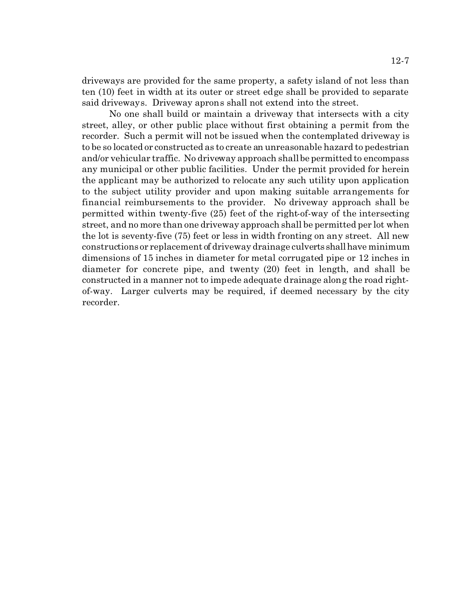driveways are provided for the same property, a safety island of not less than ten (10) feet in width at its outer or street edge shall be provided to separate said driveways. Driveway aprons shall not extend into the street.

No one shall build or maintain a driveway that intersects with a city street, alley, or other public place without first obtaining a permit from the recorder. Such a permit will not be issued when the contemplated driveway is to be so located or constructed as to create an unreasonable hazard to pedestrian and/or vehicular traffic. No driveway approach shall be permitted to encompass any municipal or other public facilities. Under the permit provided for herein the applicant may be authorized to relocate any such utility upon application to the subject utility provider and upon making suitable arrangements for financial reimbursements to the provider. No driveway approach shall be permitted within twenty-five (25) feet of the right-of-way of the intersecting street, and no more than one driveway approach shall be permitted per lot when the lot is seventy-five (75) feet or less in width fronting on any street. All new constructions or replacement of driveway drainage culverts shallhave minimum dimensions of 15 inches in diameter for metal corrugated pipe or 12 inches in diameter for concrete pipe, and twenty (20) feet in length, and shall be constructed in a manner not to impede adequate drainage along the road rightof-way. Larger culverts may be required, if deemed necessary by the city recorder.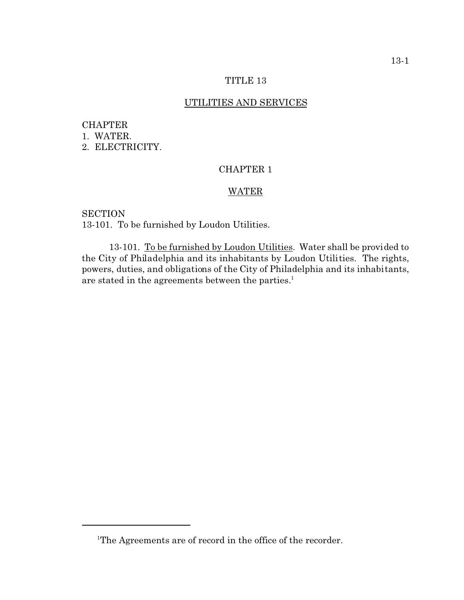## TITLE 13

### UTILITIES AND SERVICES

## CHAPTER 1. WATER. 2. ELECTRICITY.

## CHAPTER 1

## WATER

**SECTION** 13-101. To be furnished by Loudon Utilities.

13-101. To be furnished by Loudon Utilities. Water shall be provided to the City of Philadelphia and its inhabitants by Loudon Utilities. The rights, powers, duties, and obligations of the City of Philadelphia and its inhabitants, are stated in the agreements between the parties.<sup>1</sup>

<sup>&</sup>lt;sup>1</sup>The Agreements are of record in the office of the recorder.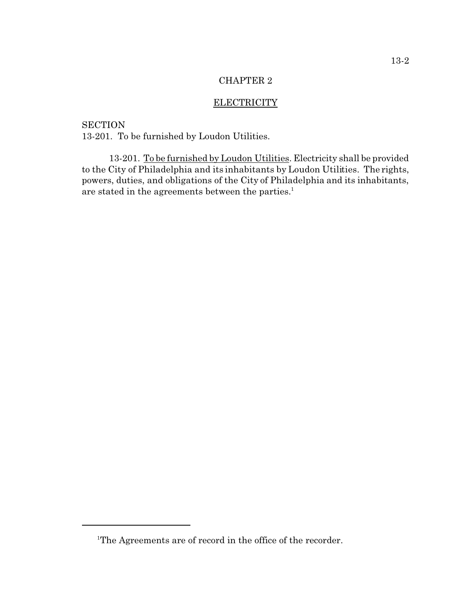## ELECTRICITY

**SECTION** 13-201. To be furnished by Loudon Utilities.

13-201. To be furnished by Loudon Utilities. Electricity shall be provided to the City of Philadelphia and its inhabitants by Loudon Utilities. The rights, powers, duties, and obligations of the City of Philadelphia and its inhabitants, are stated in the agreements between the parties.<sup>1</sup>

<sup>&</sup>lt;sup>1</sup>The Agreements are of record in the office of the recorder.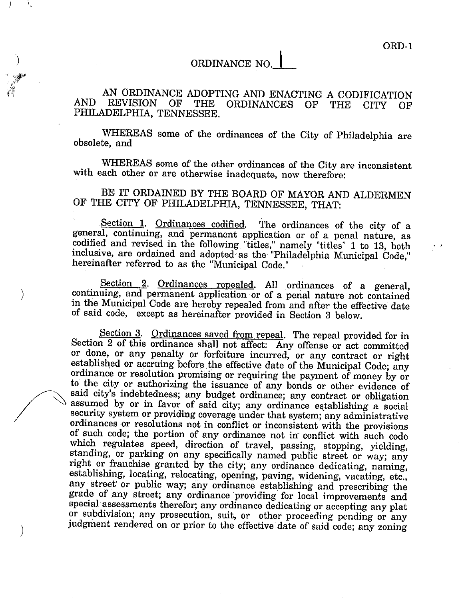ORD-1

# ORDINANCE NO.

AN ORDINANCE ADOPTING AND ENACTING A CODIFICATION **AND** REVISION OF **THE ORDINANCES** OГ THE **CITY** OF PHILADELPHIA, TENNESSEE.

WHEREAS some of the ordinances of the City of Philadelphia are obsolete, and

WHEREAS some of the other ordinances of the City are inconsistent with each other or are otherwise inadequate, now therefore:

BE IT ORDAINED BY THE BOARD OF MAYOR AND ALDERMEN OF THE CITY OF PHILADELPHIA, TENNESSEE, THAT:

Section 1. Ordinances codified. The ordinances of the city of a general, continuing, and permanent application or of a penal nature, as codified and revised in the following "titles," namely "titles" 1 to 13, both<br>inclusive, are ordained and adopted as the "Philadelphia Municipal Code," hereinafter referred to as the "Municipal Code."

Section 2. Ordinances repealed. All ordinances of a general, continuing, and permanent application or of a penal nature not contained in the Municipal Code are hereby repealed from and after the effective date of said code, except as hereinafter provided in Section 3 below.

 $\mathcal{E}$ 

 $\left( \right)$ 

Section 3. Ordinances saved from repeal. The repeal provided for in Section 2 of this ordinance shall not affect: Any offense or act committed or done, or any penalty or forfeiture incurred, or any contract or right established or accruing before the effective date of the Municipal Code; any ordinance or resolution promising or requiring the payment of money by or to the city or authorizing the issuance of any bonds or other evidence of said city's indebtedness; any budget ordinance; any contract or obligation assumed by or in favor of said city; any ordinance establishing a social security system or providing coverage under that system; any administrative ordinances or resolutions not in conflict or inconsistent with the provisions of such code; the portion of any ordinance not in conflict with such code which regulates speed, direction of travel, passing, stopping, yielding, standing, or parking on any specifically named public street or way; any right or franchise granted by the city; any ordinance dedicating, naming, establishing, locating, relocating, opening, paving, widening, vacating, etc., any street or public way; any ordinance establishing and prescribing the grade of any street; any ordinance providing for local improvements and special assessments therefor; any ordinance dedicating or accepting any plat or subdivision; any prosecution, suit, or other proceeding pending or any judgment rendered on or prior to the effective date of said code; any zoning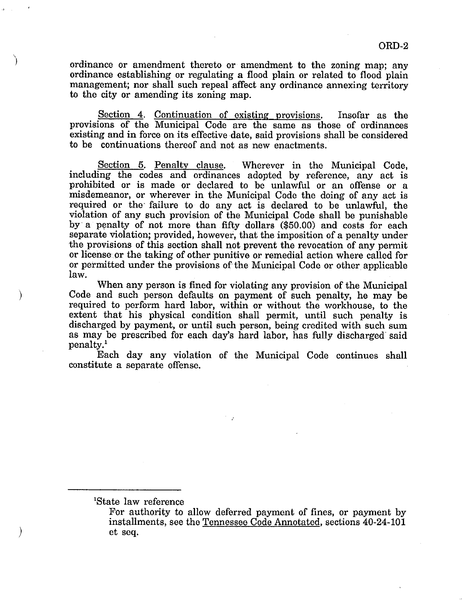ordinance or amendment thereto or amendment to the zoning map; any ordinance establishing or regulating a flood plain or related to flood plain management; nor shall such repeal affect any ordinance annexing territory to the city or amending its zoning map.

Section 4. Continuation of existing provisions. Insofar as the provisions of the Municipal Code are the same as those of ordinances existing and in force on its effective date, said provisions shall be considered to be continuations thereof and not as new enactments.

Section 5. Penalty clause. Wherever in the Municipal Code, including the codes and ordinances adopted by reference, any act is prohibited or is made or declared to be unlawful or an offense or a misdemeanor, or wherever in the Municipal Code the doing of any act is required or the failure to do any act is declared to be unlawful, the violation of any such provision of the Municipal Code shall be punishable by a penalty of not more than fifty dollars (\$50.00) and costs for each separate violation; provided, however, that the imposition of a penalty under the provisions of this section shall not prevent the revocation of any permit or license or the taking of other punitive or remedial action where called for or permitted under the provisions of the Municipal Code or other applicable law.

When any person is fined for violating any provision of the Municipal Code and such person defaults on payment of such penalty, he may be required to perform hard labor, within or without the workhouse, to the extent that his physical condition shall permit, until such penalty is discharged by payment, or until such person, being credited with such sum as may be prescribed for each day's hard labor, has fully discharged said penalty.<sup>1</sup>

Each day any violation of the Municipal Code continues shall constitute a separate offense.

<sup>1</sup>State law reference

 $\lambda$ 

For authority to allow deferred payment of fines, or payment by installments, see the Tennessee Code Annotated, sections 40-24-101 et seq.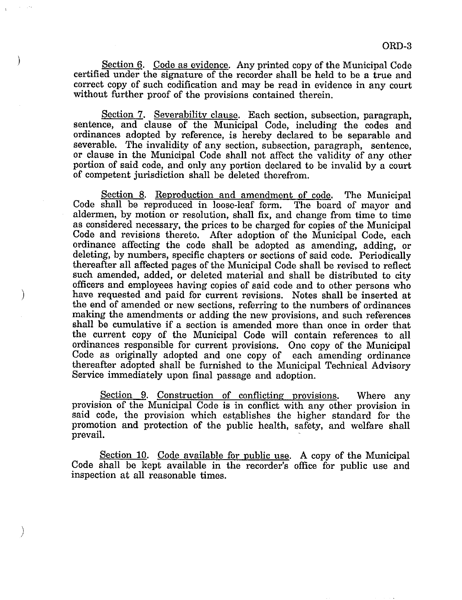Section 6. Code as evidence. Any printed copy of the Municipal Code certified under the signature of the recorder shall be held to be a true and correct copy of such codification and may be read in evidence in any court without further proof of the provisions contained therein.

 $\lambda$ 

 $\big)$ 

 $\big)$ 

Section 7. Severability clause. Each section, subsection, paragraph, sentence, and clause of the Municipal Code, including the codes and ordinances adopted by reference, is hereby declared to be separable and severable. The invalidity of any section, subsection, paragraph, sentence, or clause in the Municipal Code shall not affect the validity of any other portion of said code, and only any portion declared to be invalid by a court of competent jurisdiction shall be deleted therefrom.

Section 8. Reproduction and amendment of code. The Municipal Code shall be reproduced in loose-leaf form. The board of mayor and aldermen, by motion or resolution, shall fix, and change from time to time as considered necessary, the prices to be charged for copies of the Municipal Code and revisions thereto. After adoption of the Municipal Code, each ordinance affecting the code shall be adopted as amending, adding, or deleting, by numbers, specific chapters or sections of said code. Periodically thereafter all affected pages of the Municipal Code shall be revised to reflect such amended, added, or deleted material and shall be distributed to city officers and employees having copies of said code and to other persons who have requested and paid for current revisions. Notes shall be inserted at the end of amended or new sections, referring to the numbers of ordinances making the amendments or adding the new provisions, and such references shall be cumulative if a section is amended more than once in order that the current copy of the Municipal Code will contain references to all ordinances responsible for current provisions. One copy of the Municipal Code as originally adopted and one copy of each amending ordinance thereafter adopted shall be furnished to the Municipal Technical Advisory Service immediately upon final passage and adoption.

Section 9. Construction of conflicting provisions. Where any provision of the Municipal Code is in conflict with any other provision in said code, the provision which establishes the higher standard for the promotion and protection of the public health, safety, and welfare shall prevail.

Section 10. Code available for public use. A copy of the Municipal Code shall be kept available in the recorder's office for public use and inspection at all reasonable times.